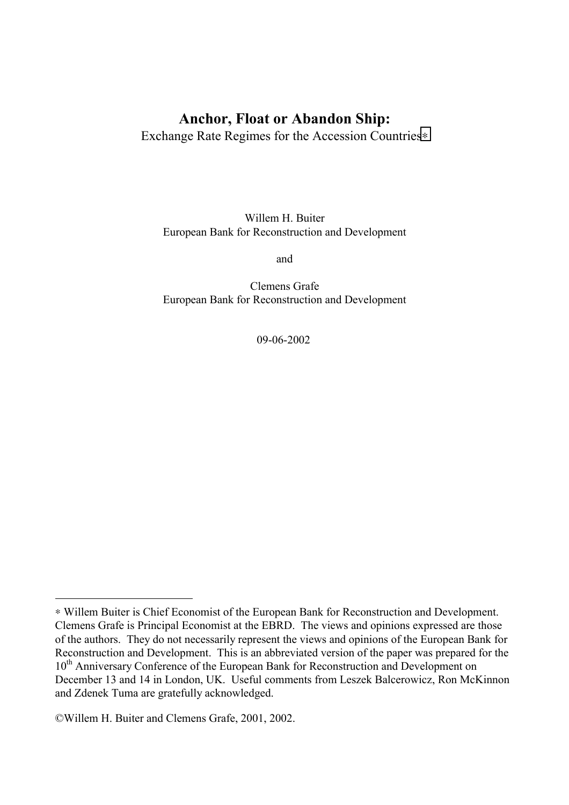# **Anchor, Float or Abandon Ship:**

Exchange Rate Regimes for the Accession Countries∗

Willem H. Buiter European Bank for Reconstruction and Development

and

Clemens Grafe European Bank for Reconstruction and Development

09-06-2002

<sup>∗</sup> Willem Buiter is Chief Economist of the European Bank for Reconstruction and Development. Clemens Grafe is Principal Economist at the EBRD. The views and opinions expressed are those of the authors. They do not necessarily represent the views and opinions of the European Bank for Reconstruction and Development.This is an abbreviated version of the paper was prepared for the 10<sup>th</sup> Anniversary Conference of the European Bank for Reconstruction and Development on December 13 and 14 in London, UK. Useful comments from Leszek Balcerowicz, Ron McKinnon and Zdenek Tuma are gratefully acknowledged.

<sup>©</sup>Willem H. Buiter and Clemens Grafe, 2001, 2002.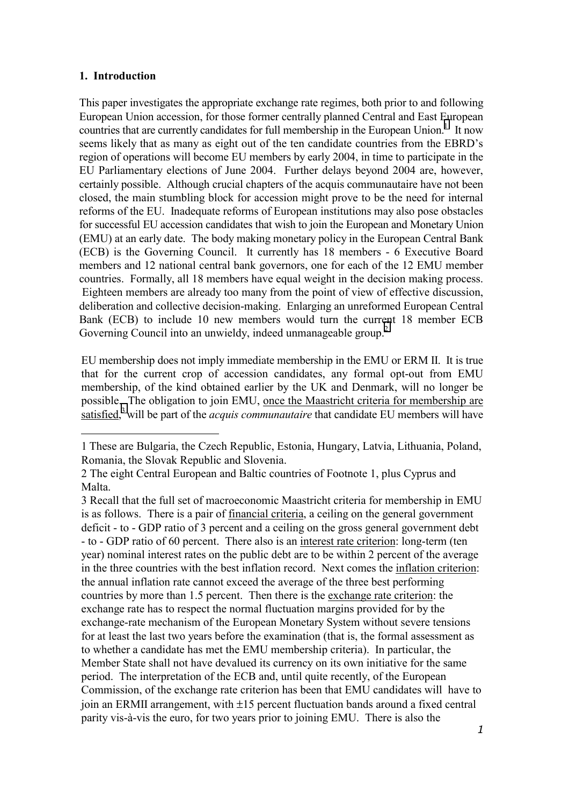#### **1. Introduction**

This paper investigates the appropriate exchange rate regimes, both prior to and following European Union accession, for those former centrally planned Central and East European countries that are currently candidates for full membership in the European Union.<sup>1</sup> It now seems likely that as many as eight out of the ten candidate countries from the EBRD's region of operations will become EU members by early 2004, in time to participate in the EU Parliamentary elections of June 2004. Further delays beyond 2004 are, however, certainly possible. Although crucial chapters of the acquis communautaire have not been closed, the main stumbling block for accession might prove to be the need for internal reforms of the EU. Inadequate reforms of European institutions may also pose obstacles for successful EU accession candidates that wish to join the European and Monetary Union (EMU) at an early date. The body making monetary policy in the European Central Bank (ECB) is the Governing Council. It currently has 18 members - 6 Executive Board members and 12 national central bank governors, one for each of the 12 EMU member countries. Formally, all 18 members have equal weight in the decision making process. Eighteen members are already too many from the point of view of effective discussion, deliberation and collective decision-making. Enlarging an unreformed European Central Bank (ECB) to include 10 new members would turn the current 18 member ECB Governing Council into an unwieldy, indeed unmanageable group.<sup>2</sup>

EU membership does not imply immediate membership in the EMU or ERM II. It is true that for the current crop of accession candidates, any formal opt-out from EMU membership, of the kind obtained earlier by the UK and Denmark, will no longer be possible. The obligation to join EMU, once the Maastricht criteria for membership are satisfied,<sup>3</sup> will be part of the *acquis communautaire* that candidate EU members will have

<sup>1</sup> These are Bulgaria, the Czech Republic, Estonia, Hungary, Latvia, Lithuania, Poland, Romania, the Slovak Republic and Slovenia.

<sup>2</sup> The eight Central European and Baltic countries of Footnote 1, plus Cyprus and Malta.

<sup>3</sup> Recall that the full set of macroeconomic Maastricht criteria for membership in EMU is as follows. There is a pair of financial criteria, a ceiling on the general government deficit - to - GDP ratio of 3 percent and a ceiling on the gross general government debt - to - GDP ratio of 60 percent. There also is an interest rate criterion: long-term (ten year) nominal interest rates on the public debt are to be within 2 percent of the average in the three countries with the best inflation record. Next comes the inflation criterion: the annual inflation rate cannot exceed the average of the three best performing countries by more than 1.5 percent. Then there is the exchange rate criterion: the exchange rate has to respect the normal fluctuation margins provided for by the exchange-rate mechanism of the European Monetary System without severe tensions for at least the last two years before the examination (that is, the formal assessment as to whether a candidate has met the EMU membership criteria). In particular, the Member State shall not have devalued its currency on its own initiative for the same period. The interpretation of the ECB and, until quite recently, of the European Commission, of the exchange rate criterion has been that EMU candidates will have to join an ERMII arrangement, with ±15 percent fluctuation bands around a fixed central parity vis-à-vis the euro, for two years prior to joining EMU. There is also the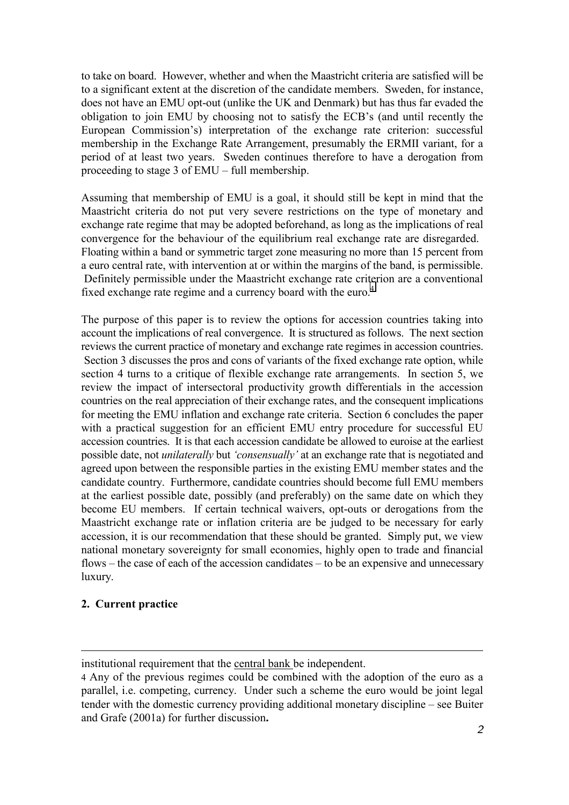to take on board. However, whether and when the Maastricht criteria are satisfied will be to a significant extent at the discretion of the candidate members. Sweden, for instance, does not have an EMU opt-out (unlike the UK and Denmark) but has thus far evaded the obligation to join EMU by choosing not to satisfy the ECB's (and until recently the European Commission's) interpretation of the exchange rate criterion: successful membership in the Exchange Rate Arrangement, presumably the ERMII variant, for a period of at least two years. Sweden continues therefore to have a derogation from proceeding to stage 3 of EMU – full membership.

Assuming that membership of EMU is a goal, it should still be kept in mind that the Maastricht criteria do not put very severe restrictions on the type of monetary and exchange rate regime that may be adopted beforehand, as long as the implications of real convergence for the behaviour of the equilibrium real exchange rate are disregarded. Floating within a band or symmetric target zone measuring no more than 15 percent from a euro central rate, with intervention at or within the margins of the band, is permissible. Definitely permissible under the Maastricht exchange rate criterion are a conventional fixed exchange rate regime and a currency board with the euro.<sup>4</sup>

The purpose of this paper is to review the options for accession countries taking into account the implications of real convergence. It is structured as follows. The next section reviews the current practice of monetary and exchange rate regimes in accession countries. Section 3 discusses the pros and cons of variants of the fixed exchange rate option, while section 4 turns to a critique of flexible exchange rate arrangements. In section 5, we review the impact of intersectoral productivity growth differentials in the accession countries on the real appreciation of their exchange rates, and the consequent implications for meeting the EMU inflation and exchange rate criteria. Section 6 concludes the paper with a practical suggestion for an efficient EMU entry procedure for successful EU accession countries. It is that each accession candidate be allowed to euroise at the earliest possible date, not *unilaterally* but *'consensually'* at an exchange rate that is negotiated and agreed upon between the responsible parties in the existing EMU member states and the candidate country. Furthermore, candidate countries should become full EMU members at the earliest possible date, possibly (and preferably) on the same date on which they become EU members. If certain technical waivers, opt-outs or derogations from the Maastricht exchange rate or inflation criteria are be judged to be necessary for early accession, it is our recommendation that these should be granted. Simply put, we view national monetary sovereignty for small economies, highly open to trade and financial flows – the case of each of the accession candidates – to be an expensive and unnecessary luxury.

#### **2. Current practice**

-

institutional requirement that the central bank be independent.

<sup>4</sup> Any of the previous regimes could be combined with the adoption of the euro as a parallel, i.e. competing, currency. Under such a scheme the euro would be joint legal tender with the domestic currency providing additional monetary discipline – see Buiter and Grafe (2001a) for further discussion**.**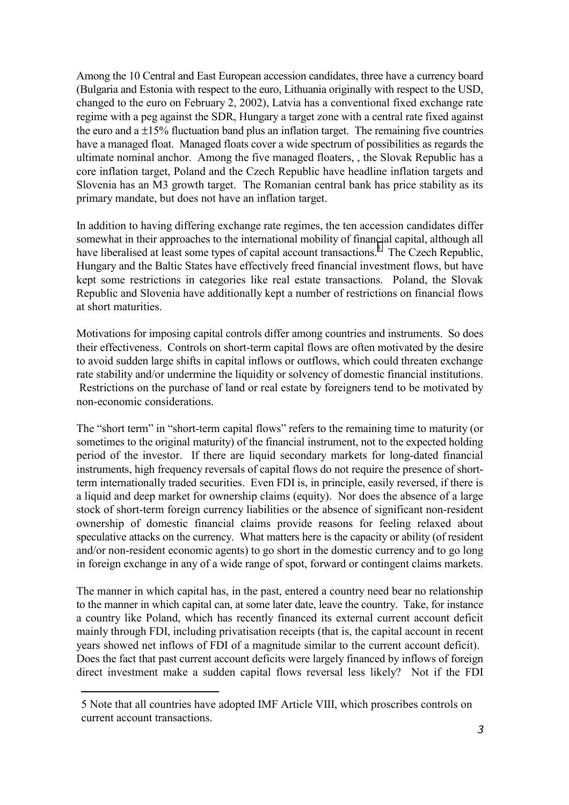Among the 10 Central and East European accession candidates, three have a currency board (Bulgaria and Estonia with respect to the euro, Lithuania originally with respect to the USD, changed to the euro on February 2, 2002), Latvia has a conventional fixed exchange rate regime with a peg against the SDR, Hungary a target zone with a central rate fixed against the euro and a  $\pm 15\%$  fluctuation band plus an inflation target. The remaining five countries have a managed float. Managed floats cover a wide spectrum of possibilities as regards the ultimate nominal anchor. Among the five managed floaters, , the Slovak Republic has a core inflation target, Poland and the Czech Republic have headline inflation targets and Slovenia has an M3 growth target. The Romanian central bank has price stability as its primary mandate, but does not have an inflation target.

In addition to having differing exchange rate regimes, the ten accession candidates differ somewhat in their approaches to the international mobility of financial capital, although all have liberalised at least some types of capital account transactions.<sup>5.</sup> The Czech Republic, Hungary and the Baltic States have effectively freed financial investment flows, but have kept some restrictions in categories like real estate transactions. Poland, the Slovak Republic and Slovenia have additionally kept a number of restrictions on financial flows at short maturities.

Motivations for imposing capital controls differ among countries and instruments. So does their effectiveness. Controls on short-term capital flows are often motivated by the desire to avoid sudden large shifts in capital inflows or outflows, which could threaten exchange rate stability and/or undermine the liquidity or solvency of domestic financial institutions. Restrictions on the purchase of land or real estate by foreigners tend to be motivated by non-economic considerations.

The "short term" in "short-term capital flows" refers to the remaining time to maturity (or sometimes to the original maturity) of the financial instrument, not to the expected holding period of the investor. If there are liquid secondary markets for long-dated financial instruments, high frequency reversals of capital flows do not require the presence of shortterm internationally traded securities. Even FDI is, in principle, easily reversed, if there is a liquid and deep market for ownership claims (equity). Nor does the absence of a large stock of short-term foreign currency liabilities or the absence of significant non-resident ownership of domestic financial claims provide reasons for feeling relaxed about speculative attacks on the currency. What matters here is the capacity or ability (of resident and/or non-resident economic agents) to go short in the domestic currency and to go long in foreign exchange in any of a wide range of spot, forward or contingent claims markets.

The manner in which capital has, in the past, entered a country need bear no relationship to the manner in which capital can, at some later date, leave the country. Take, for instance a country like Poland, which has recently financed its external current account deficit mainly through FDI, including privatisation receipts (that is, the capital account in recent years showed net inflows of FDI of a magnitude similar to the current account deficit). Does the fact that past current account deficits were largely financed by inflows of foreign direct investment make a sudden capital flows reversal less likely? Not if the FDI

<sup>5</sup> Note that all countries have adopted IMF Article VIII, which proscribes controls on current account transactions.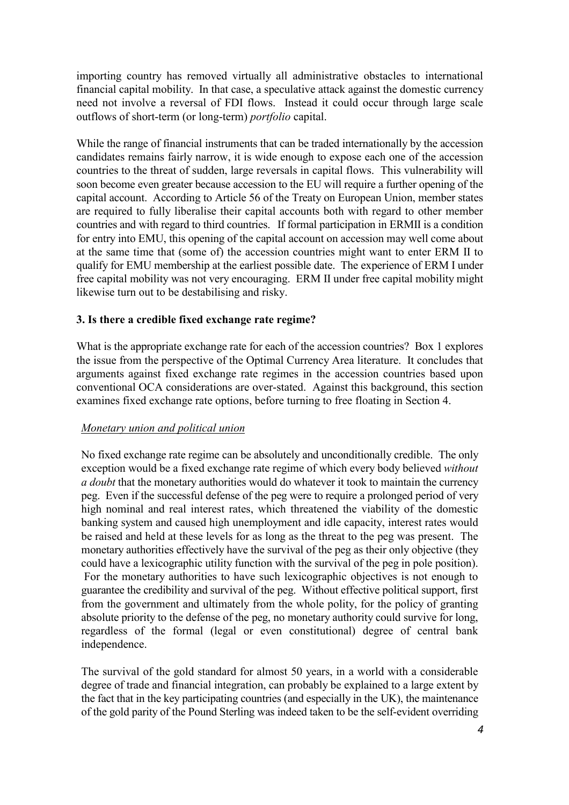importing country has removed virtually all administrative obstacles to international financial capital mobility. In that case, a speculative attack against the domestic currency need not involve a reversal of FDI flows. Instead it could occur through large scale outflows of short-term (or long-term) *portfolio* capital.

While the range of financial instruments that can be traded internationally by the accession candidates remains fairly narrow, it is wide enough to expose each one of the accession countries to the threat of sudden, large reversals in capital flows. This vulnerability will soon become even greater because accession to the EU will require a further opening of the capital account. According to Article 56 of the Treaty on European Union, member states are required to fully liberalise their capital accounts both with regard to other member countries and with regard to third countries. If formal participation in ERMII is a condition for entry into EMU, this opening of the capital account on accession may well come about at the same time that (some of) the accession countries might want to enter ERM II to qualify for EMU membership at the earliest possible date. The experience of ERM I under free capital mobility was not very encouraging. ERM II under free capital mobility might likewise turn out to be destabilising and risky.

### **3. Is there a credible fixed exchange rate regime?**

What is the appropriate exchange rate for each of the accession countries? Box 1 explores the issue from the perspective of the Optimal Currency Area literature. It concludes that arguments against fixed exchange rate regimes in the accession countries based upon conventional OCA considerations are over-stated. Against this background, this section examines fixed exchange rate options, before turning to free floating in Section 4.

#### *Monetary union and political union*

No fixed exchange rate regime can be absolutely and unconditionally credible. The only exception would be a fixed exchange rate regime of which every body believed *without a doubt* that the monetary authorities would do whatever it took to maintain the currency peg. Even if the successful defense of the peg were to require a prolonged period of very high nominal and real interest rates, which threatened the viability of the domestic banking system and caused high unemployment and idle capacity, interest rates would be raised and held at these levels for as long as the threat to the peg was present. The monetary authorities effectively have the survival of the peg as their only objective (they could have a lexicographic utility function with the survival of the peg in pole position). For the monetary authorities to have such lexicographic objectives is not enough to guarantee the credibility and survival of the peg. Without effective political support, first from the government and ultimately from the whole polity, for the policy of granting absolute priority to the defense of the peg, no monetary authority could survive for long, regardless of the formal (legal or even constitutional) degree of central bank independence.

The survival of the gold standard for almost 50 years, in a world with a considerable degree of trade and financial integration, can probably be explained to a large extent by the fact that in the key participating countries (and especially in the UK), the maintenance of the gold parity of the Pound Sterling was indeed taken to be the self-evident overriding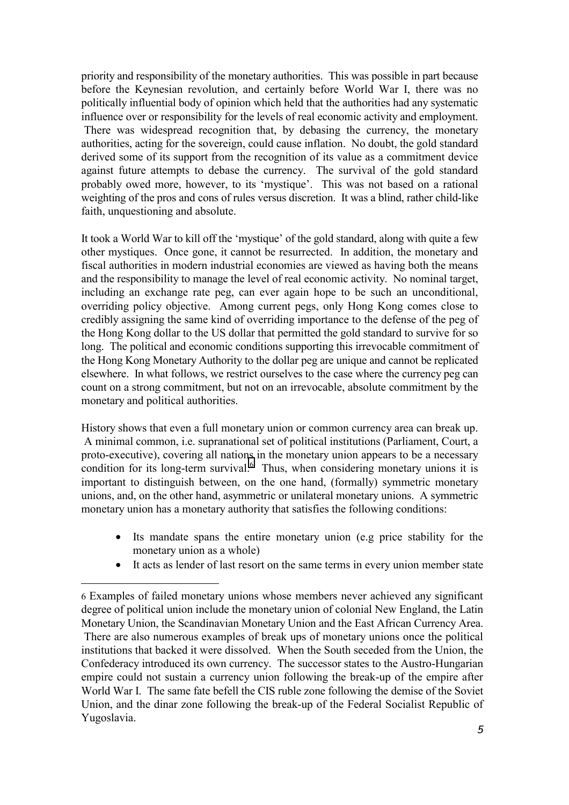priority and responsibility of the monetary authorities. This was possible in part because before the Keynesian revolution, and certainly before World War I, there was no politically influential body of opinion which held that the authorities had any systematic influence over or responsibility for the levels of real economic activity and employment. There was widespread recognition that, by debasing the currency, the monetary authorities, acting for the sovereign, could cause inflation. No doubt, the gold standard derived some of its support from the recognition of its value as a commitment device against future attempts to debase the currency. The survival of the gold standard probably owed more, however, to its 'mystique'. This was not based on a rational weighting of the pros and cons of rules versus discretion. It was a blind, rather child-like faith, unquestioning and absolute.

It took a World War to kill off the 'mystique' of the gold standard, along with quite a few other mystiques. Once gone, it cannot be resurrected. In addition, the monetary and fiscal authorities in modern industrial economies are viewed as having both the means and the responsibility to manage the level of real economic activity. No nominal target, including an exchange rate peg, can ever again hope to be such an unconditional, overriding policy objective. Among current pegs, only Hong Kong comes close to credibly assigning the same kind of overriding importance to the defense of the peg of the Hong Kong dollar to the US dollar that permitted the gold standard to survive for so long. The political and economic conditions supporting this irrevocable commitment of the Hong Kong Monetary Authority to the dollar peg are unique and cannot be replicated elsewhere. In what follows, we restrict ourselves to the case where the currency peg can count on a strong commitment, but not on an irrevocable, absolute commitment by the monetary and political authorities.

History shows that even a full monetary union or common currency area can break up. A minimal common, i.e. supranational set of political institutions (Parliament, Court, a proto-executive), covering all nations in the monetary union appears to be a necessary condition for its long-term survival. $6$  Thus, when considering monetary unions it is important to distinguish between, on the one hand, (formally) symmetric monetary unions, and, on the other hand, asymmetric or unilateral monetary unions. A symmetric monetary union has a monetary authority that satisfies the following conditions:

- Its mandate spans the entire monetary union (e.g price stability for the monetary union as a whole)
- It acts as lender of last resort on the same terms in every union member state

<sup>6</sup> Examples of failed monetary unions whose members never achieved any significant degree of political union include the monetary union of colonial New England, the Latin Monetary Union, the Scandinavian Monetary Union and the East African Currency Area. There are also numerous examples of break ups of monetary unions once the political institutions that backed it were dissolved. When the South seceded from the Union, the Confederacy introduced its own currency. The successor states to the Austro-Hungarian empire could not sustain a currency union following the break-up of the empire after World War I. The same fate befell the CIS ruble zone following the demise of the Soviet Union, and the dinar zone following the break-up of the Federal Socialist Republic of Yugoslavia.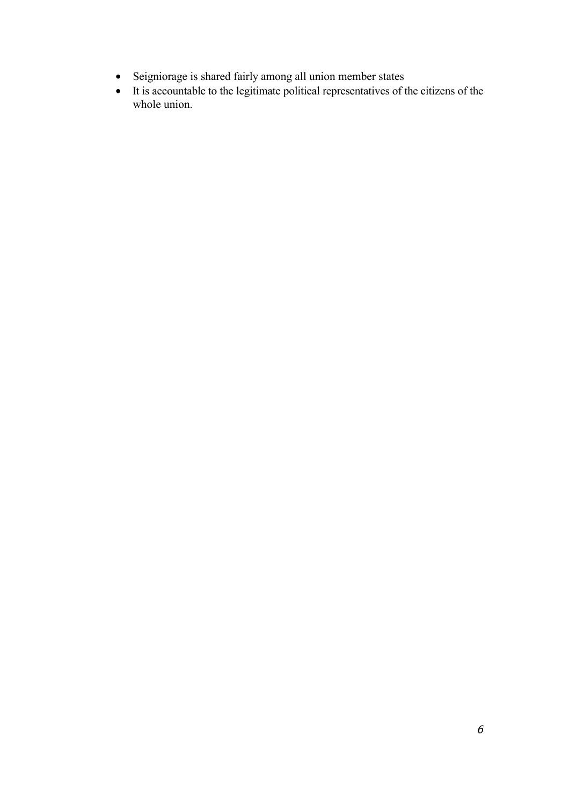- Seigniorage is shared fairly among all union member states
- It is accountable to the legitimate political representatives of the citizens of the whole union.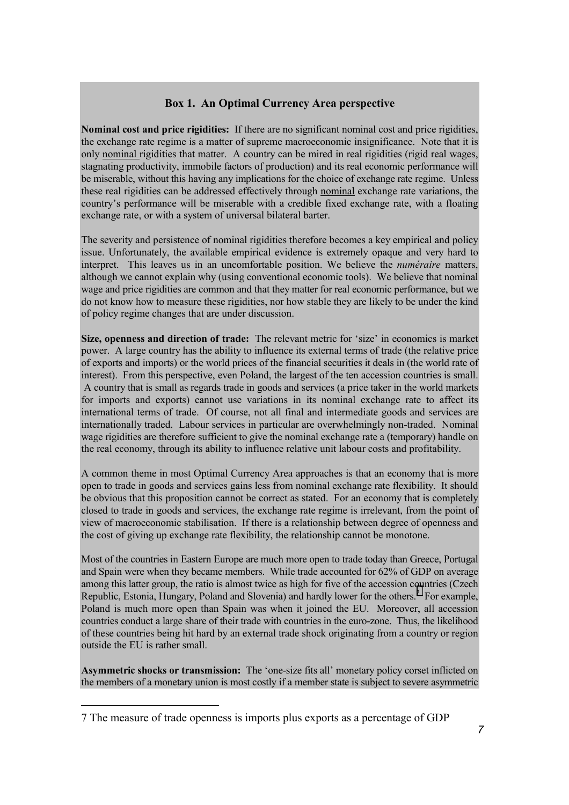### **Box 1. An Optimal Currency Area perspective**

**Nominal cost and price rigidities:**If there are no significant nominal cost and price rigidities, the exchange rate regime is a matter of supreme macroeconomic insignificance. Note that it is only nominal rigidities that matter. A country can be mired in real rigidities (rigid real wages, stagnating productivity, immobile factors of production) and its real economic performance will be miserable, without this having any implications for the choice of exchange rate regime. Unless these real rigidities can be addressed effectively through nominal exchange rate variations, the country's performance will be miserable with a credible fixed exchange rate, with a floating exchange rate, or with a system of universal bilateral barter.

The severity and persistence of nominal rigidities therefore becomes a key empirical and policy issue. Unfortunately, the available empirical evidence is extremely opaque and very hard to interpret. This leaves us in an uncomfortable position. We believe the *numéraire* matters, although we cannot explain why (using conventional economic tools). We believe that nominal wage and price rigidities are common and that they matter for real economic performance, but we do not know how to measure these rigidities, nor how stable they are likely to be under the kind of policy regime changes that are under discussion.

**Size, openness and direction of trade:**The relevant metric for 'size' in economics is market power. A large country has the ability to influence its external terms of trade (the relative price of exports and imports) or the world prices of the financial securities it deals in (the world rate of interest). From this perspective, even Poland, the largest of the ten accession countries is small. A country that is small as regards trade in goods and services (a price taker in the world markets for imports and exports) cannot use variations in its nominal exchange rate to affect its international terms of trade. Of course, not all final and intermediate goods and services are internationally traded. Labour services in particular are overwhelmingly non-traded. Nominal wage rigidities are therefore sufficient to give the nominal exchange rate a (temporary) handle on the real economy, through its ability to influence relative unit labour costs and profitability.

A common theme in most Optimal Currency Area approaches is that an economy that is more open to trade in goods and services gains less from nominal exchange rate flexibility. It should be obvious that this proposition cannot be correct as stated. For an economy that is completely closed to trade in goods and services, the exchange rate regime is irrelevant, from the point of view of macroeconomic stabilisation. If there is a relationship between degree of openness and the cost of giving up exchange rate flexibility, the relationship cannot be monotone.

Most of the countries in Eastern Europe are much more open to trade today than Greece, Portugal and Spain were when they became members. While trade accounted for 62% of GDP on average among this latter group, the ratio is almost twice as high for five of the accession countries (Czech Republic, Estonia, Hungary, Poland and Slovenia) and hardly lower for the others.<sup>7</sup> For example, Poland is much more open than Spain was when it joined the EU. Moreover, all accession countries conduct a large share of their trade with countries in the euro-zone. Thus, the likelihood of these countries being hit hard by an external trade shock originating from a country or region outside the EU is rather small.

**Asymmetric shocks or transmission:**The 'one-size fits all' monetary policy corset inflicted on the members of a monetary union is most costly if a member state is subject to severe asymmetric

<sup>7</sup> The measure of trade openness is imports plus exports as a percentage of GDP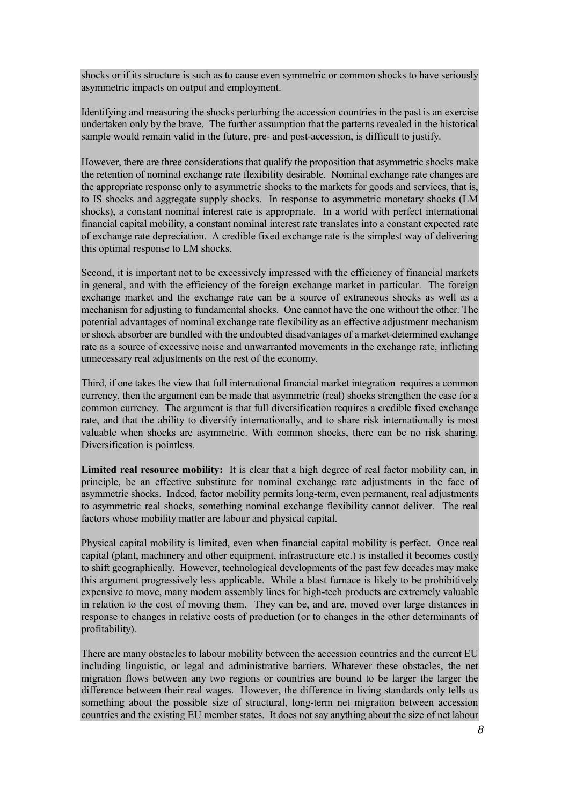shocks or if its structure is such as to cause even symmetric or common shocks to have seriously asymmetric impacts on output and employment.

Identifying and measuring the shocks perturbing the accession countries in the past is an exercise undertaken only by the brave. The further assumption that the patterns revealed in the historical sample would remain valid in the future, pre- and post-accession, is difficult to justify.

However, there are three considerations that qualify the proposition that asymmetric shocks make the retention of nominal exchange rate flexibility desirable. Nominal exchange rate changes are the appropriate response only to asymmetric shocks to the markets for goods and services, that is, to IS shocks and aggregate supply shocks. In response to asymmetric monetary shocks (LM shocks), a constant nominal interest rate is appropriate. In a world with perfect international financial capital mobility, a constant nominal interest rate translates into a constant expected rate of exchange rate depreciation. A credible fixed exchange rate is the simplest way of delivering this optimal response to LM shocks.

Second, it is important not to be excessively impressed with the efficiency of financial markets in general, and with the efficiency of the foreign exchange market in particular. The foreign exchange market and the exchange rate can be a source of extraneous shocks as well as a mechanism for adjusting to fundamental shocks. One cannot have the one without the other. The potential advantages of nominal exchange rate flexibility as an effective adjustment mechanism or shock absorber are bundled with the undoubted disadvantages of a market-determined exchange rate as a source of excessive noise and unwarranted movements in the exchange rate, inflicting unnecessary real adjustments on the rest of the economy.

Third, if one takes the view that full international financial market integration requires a common currency, then the argument can be made that asymmetric (real) shocks strengthen the case for a common currency. The argument is that full diversification requires a credible fixed exchange rate, and that the ability to diversify internationally, and to share risk internationally is most valuable when shocks are asymmetric. With common shocks, there can be no risk sharing. Diversification is pointless.

**Limited real resource mobility:**It is clear that a high degree of real factor mobility can, in principle, be an effective substitute for nominal exchange rate adjustments in the face of asymmetric shocks. Indeed, factor mobility permits long-term, even permanent, real adjustments to asymmetric real shocks, something nominal exchange flexibility cannot deliver. The real factors whose mobility matter are labour and physical capital.

Physical capital mobility is limited, even when financial capital mobility is perfect. Once real capital (plant, machinery and other equipment, infrastructure etc.) is installed it becomes costly to shift geographically. However, technological developments of the past few decades may make this argument progressively less applicable. While a blast furnace is likely to be prohibitively expensive to move, many modern assembly lines for high-tech products are extremely valuable in relation to the cost of moving them. They can be, and are, moved over large distances in response to changes in relative costs of production (or to changes in the other determinants of profitability).

There are many obstacles to labour mobility between the accession countries and the current EU including linguistic, or legal and administrative barriers. Whatever these obstacles, the net migration flows between any two regions or countries are bound to be larger the larger the difference between their real wages. However, the difference in living standards only tells us something about the possible size of structural, long-term net migration between accession countries and the existing EU member states. It does not say anything about the size of net labour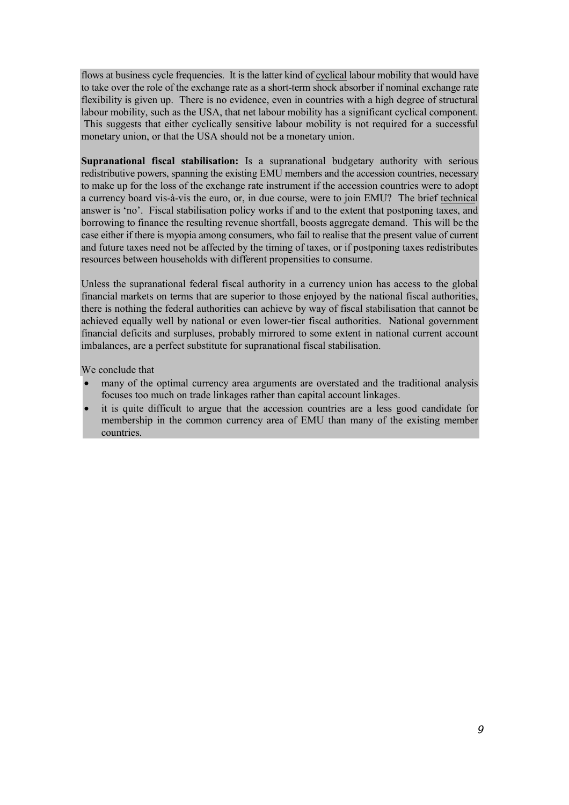flows at business cycle frequencies. It is the latter kind of cyclical labour mobility that would have to take over the role of the exchange rate as a short-term shock absorber if nominal exchange rate flexibility is given up. There is no evidence, even in countries with a high degree of structural labour mobility, such as the USA, that net labour mobility has a significant cyclical component. This suggests that either cyclically sensitive labour mobility is not required for a successful monetary union, or that the USA should not be a monetary union.

**Supranational fiscal stabilisation:** Is a supranational budgetary authority with serious redistributive powers, spanning the existing EMU members and the accession countries, necessary to make up for the loss of the exchange rate instrument if the accession countries were to adopt a currency board vis-à-vis the euro, or, in due course, were to join EMU? The brief technical answer is 'no'. Fiscal stabilisation policy works if and to the extent that postponing taxes, and borrowing to finance the resulting revenue shortfall, boosts aggregate demand. This will be the case either if there is myopia among consumers, who fail to realise that the present value of current and future taxes need not be affected by the timing of taxes, or if postponing taxes redistributes resources between households with different propensities to consume.

Unless the supranational federal fiscal authority in a currency union has access to the global financial markets on terms that are superior to those enjoyed by the national fiscal authorities, there is nothing the federal authorities can achieve by way of fiscal stabilisation that cannot be achieved equally well by national or even lower-tier fiscal authorities. National government financial deficits and surpluses, probably mirrored to some extent in national current account imbalances, are a perfect substitute for supranational fiscal stabilisation.

We conclude that

- many of the optimal currency area arguments are overstated and the traditional analysis focuses too much on trade linkages rather than capital account linkages.
- it is quite difficult to argue that the accession countries are a less good candidate for membership in the common currency area of EMU than many of the existing member countries.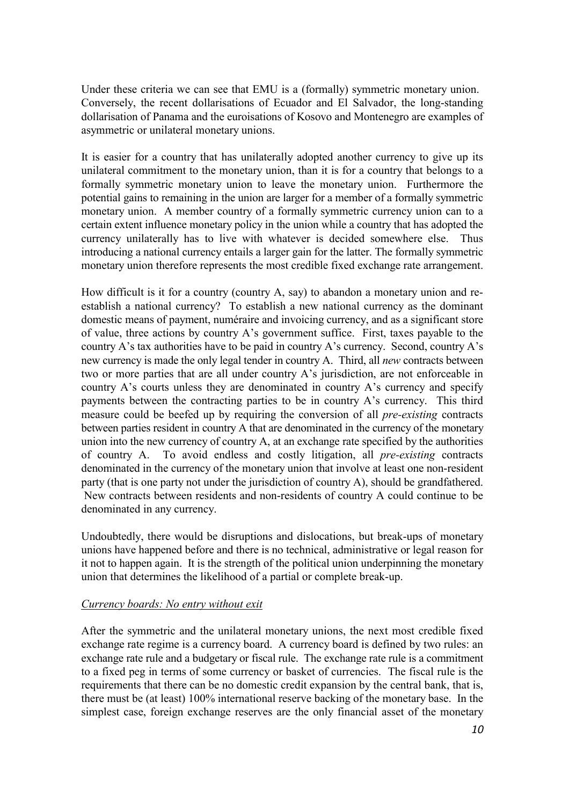Under these criteria we can see that EMU is a (formally) symmetric monetary union. Conversely, the recent dollarisations of Ecuador and El Salvador, the long-standing dollarisation of Panama and the euroisations of Kosovo and Montenegro are examples of asymmetric or unilateral monetary unions.

It is easier for a country that has unilaterally adopted another currency to give up its unilateral commitment to the monetary union, than it is for a country that belongs to a formally symmetric monetary union to leave the monetary union. Furthermore the potential gains to remaining in the union are larger for a member of a formally symmetric monetary union. A member country of a formally symmetric currency union can to a certain extent influence monetary policy in the union while a country that has adopted the currency unilaterally has to live with whatever is decided somewhere else. Thus introducing a national currency entails a larger gain for the latter. The formally symmetric monetary union therefore represents the most credible fixed exchange rate arrangement.

How difficult is it for a country (country A, say) to abandon a monetary union and reestablish a national currency? To establish a new national currency as the dominant domestic means of payment, numéraire and invoicing currency, and as a significant store of value, three actions by country A's government suffice. First, taxes payable to the country A's tax authorities have to be paid in country A's currency. Second, country A's new currency is made the only legal tender in country A. Third, all *new* contracts between two or more parties that are all under country A's jurisdiction, are not enforceable in country A's courts unless they are denominated in country A's currency and specify payments between the contracting parties to be in country A's currency. This third measure could be beefed up by requiring the conversion of all *pre-existing* contracts between parties resident in country A that are denominated in the currency of the monetary union into the new currency of country A, at an exchange rate specified by the authorities of country A. To avoid endless and costly litigation, all *pre-existing* contracts denominated in the currency of the monetary union that involve at least one non-resident party (that is one party not under the jurisdiction of country A), should be grandfathered. New contracts between residents and non-residents of country A could continue to be denominated in any currency.

Undoubtedly, there would be disruptions and dislocations, but break-ups of monetary unions have happened before and there is no technical, administrative or legal reason for it not to happen again. It is the strength of the political union underpinning the monetary union that determines the likelihood of a partial or complete break-up.

#### *Currency boards: No entry without exit*

After the symmetric and the unilateral monetary unions, the next most credible fixed exchange rate regime is a currency board. A currency board is defined by two rules: an exchange rate rule and a budgetary or fiscal rule. The exchange rate rule is a commitment to a fixed peg in terms of some currency or basket of currencies. The fiscal rule is the requirements that there can be no domestic credit expansion by the central bank, that is, there must be (at least) 100% international reserve backing of the monetary base. In the simplest case, foreign exchange reserves are the only financial asset of the monetary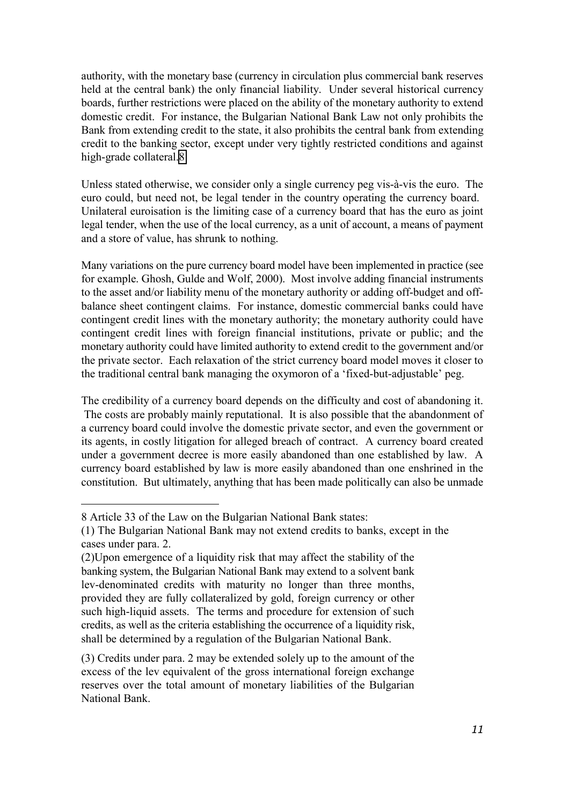authority, with the monetary base (currency in circulation plus commercial bank reserves held at the central bank) the only financial liability. Under several historical currency boards, further restrictions were placed on the ability of the monetary authority to extend domestic credit. For instance, the Bulgarian National Bank Law not only prohibits the Bank from extending credit to the state, it also prohibits the central bank from extending credit to the banking sector, except under very tightly restricted conditions and against high-grade collateral.8

Unless stated otherwise, we consider only a single currency peg vis-à-vis the euro. The euro could, but need not, be legal tender in the country operating the currency board. Unilateral euroisation is the limiting case of a currency board that has the euro as joint legal tender, when the use of the local currency, as a unit of account, a means of payment and a store of value, has shrunk to nothing.

Many variations on the pure currency board model have been implemented in practice (see for example. Ghosh, Gulde and Wolf, 2000). Most involve adding financial instruments to the asset and/or liability menu of the monetary authority or adding off-budget and offbalance sheet contingent claims. For instance, domestic commercial banks could have contingent credit lines with the monetary authority; the monetary authority could have contingent credit lines with foreign financial institutions, private or public; and the monetary authority could have limited authority to extend credit to the government and/or the private sector. Each relaxation of the strict currency board model moves it closer to the traditional central bank managing the oxymoron of a 'fixed-but-adjustable' peg.

The credibility of a currency board depends on the difficulty and cost of abandoning it. The costs are probably mainly reputational. It is also possible that the abandonment of a currency board could involve the domestic private sector, and even the government or its agents, in costly litigation for alleged breach of contract. A currency board created under a government decree is more easily abandoned than one established by law. A currency board established by law is more easily abandoned than one enshrined in the constitution. But ultimately, anything that has been made politically can also be unmade

l,

(3) Credits under para. 2 may be extended solely up to the amount of the excess of the lev equivalent of the gross international foreign exchange reserves over the total amount of monetary liabilities of the Bulgarian National Bank.

<sup>8</sup> Article 33 of the Law on the Bulgarian National Bank states:

<sup>(1)</sup> The Bulgarian National Bank may not extend credits to banks, except in the cases under para. 2.

<sup>(2)</sup>Upon emergence of a liquidity risk that may affect the stability of the banking system, the Bulgarian National Bank may extend to a solvent bank lev-denominated credits with maturity no longer than three months, provided they are fully collateralized by gold, foreign currency or other such high-liquid assets. The terms and procedure for extension of such credits, as well as the criteria establishing the occurrence of a liquidity risk, shall be determined by a regulation of the Bulgarian National Bank.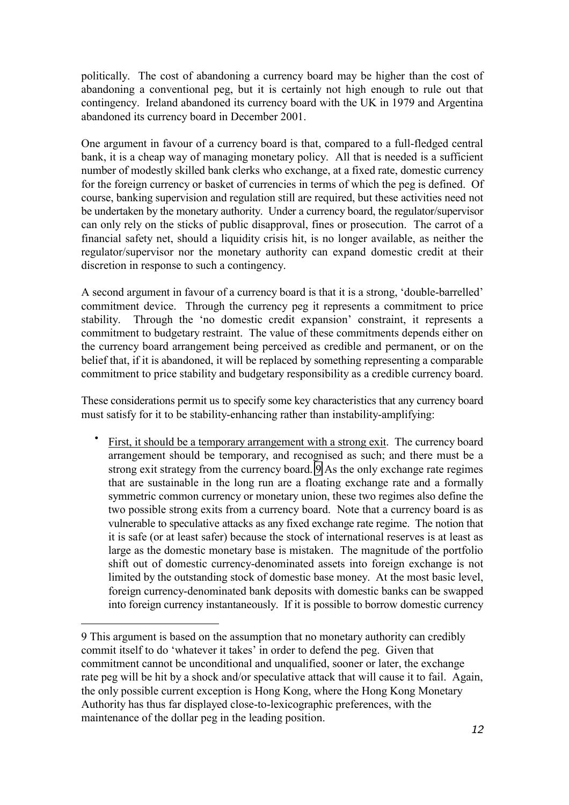politically. The cost of abandoning a currency board may be higher than the cost of abandoning a conventional peg, but it is certainly not high enough to rule out that contingency. Ireland abandoned its currency board with the UK in 1979 and Argentina abandoned its currency board in December 2001.

One argument in favour of a currency board is that, compared to a full-fledged central bank, it is a cheap way of managing monetary policy. All that is needed is a sufficient number of modestly skilled bank clerks who exchange, at a fixed rate, domestic currency for the foreign currency or basket of currencies in terms of which the peg is defined. Of course, banking supervision and regulation still are required, but these activities need not be undertaken by the monetary authority. Under a currency board, the regulator/supervisor can only rely on the sticks of public disapproval, fines or prosecution. The carrot of a financial safety net, should a liquidity crisis hit, is no longer available, as neither the regulator/supervisor nor the monetary authority can expand domestic credit at their discretion in response to such a contingency.

A second argument in favour of a currency board is that it is a strong, 'double-barrelled' commitment device. Through the currency peg it represents a commitment to price stability. Through the 'no domestic credit expansion' constraint, it represents a commitment to budgetary restraint. The value of these commitments depends either on the currency board arrangement being perceived as credible and permanent, or on the belief that, if it is abandoned, it will be replaced by something representing a comparable commitment to price stability and budgetary responsibility as a credible currency board.

These considerations permit us to specify some key characteristics that any currency board must satisfy for it to be stability-enhancing rather than instability-amplifying:

First, it should be a temporary arrangement with a strong exit. The currency board arrangement should be temporary, and recognised as such; and there must be a strong exit strategy from the currency board. 9 As the only exchange rate regimes that are sustainable in the long run are a floating exchange rate and a formally symmetric common currency or monetary union, these two regimes also define the two possible strong exits from a currency board. Note that a currency board is as vulnerable to speculative attacks as any fixed exchange rate regime. The notion that it is safe (or at least safer) because the stock of international reserves is at least as large as the domestic monetary base is mistaken. The magnitude of the portfolio shift out of domestic currency-denominated assets into foreign exchange is not limited by the outstanding stock of domestic base money. At the most basic level, foreign currency-denominated bank deposits with domestic banks can be swapped into foreign currency instantaneously. If it is possible to borrow domestic currency

<sup>9</sup> This argument is based on the assumption that no monetary authority can credibly commit itself to do 'whatever it takes' in order to defend the peg. Given that commitment cannot be unconditional and unqualified, sooner or later, the exchange rate peg will be hit by a shock and/or speculative attack that will cause it to fail. Again, the only possible current exception is Hong Kong, where the Hong Kong Monetary Authority has thus far displayed close-to-lexicographic preferences, with the maintenance of the dollar peg in the leading position.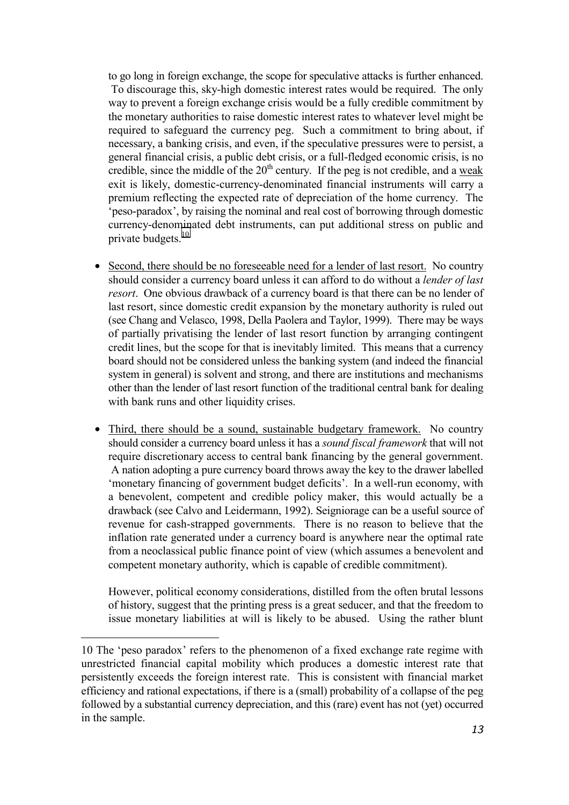to go long in foreign exchange, the scope for speculative attacks is further enhanced. To discourage this, sky-high domestic interest rates would be required. The only way to prevent a foreign exchange crisis would be a fully credible commitment by the monetary authorities to raise domestic interest rates to whatever level might be required to safeguard the currency peg. Such a commitment to bring about, if necessary, a banking crisis, and even, if the speculative pressures were to persist, a general financial crisis, a public debt crisis, or a full-fledged economic crisis, is no credible, since the middle of the  $20<sup>th</sup>$  century. If the peg is not credible, and a weak exit is likely, domestic-currency-denominated financial instruments will carry a premium reflecting the expected rate of depreciation of the home currency. The 'peso-paradox', by raising the nominal and real cost of borrowing through domestic currency-denominated debt instruments, can put additional stress on public and private budgets.<sup>10</sup>

- Second, there should be no foreseeable need for a lender of last resort. No country should consider a currency board unless it can afford to do without a *lender of last resort*. One obvious drawback of a currency board is that there can be no lender of last resort, since domestic credit expansion by the monetary authority is ruled out (see Chang and Velasco, 1998, Della Paolera and Taylor, 1999). There may be ways of partially privatising the lender of last resort function by arranging contingent credit lines, but the scope for that is inevitably limited. This means that a currency board should not be considered unless the banking system (and indeed the financial system in general) is solvent and strong, and there are institutions and mechanisms other than the lender of last resort function of the traditional central bank for dealing with bank runs and other liquidity crises.
- Third, there should be a sound, sustainable budgetary framework. No country should consider a currency board unless it has a *sound fiscal framework* that will not require discretionary access to central bank financing by the general government. A nation adopting a pure currency board throws away the key to the drawer labelled 'monetary financing of government budget deficits'. In a well-run economy, with a benevolent, competent and credible policy maker, this would actually be a drawback (see Calvo and Leidermann, 1992). Seigniorage can be a useful source of revenue for cash-strapped governments. There is no reason to believe that the inflation rate generated under a currency board is anywhere near the optimal rate from a neoclassical public finance point of view (which assumes a benevolent and competent monetary authority, which is capable of credible commitment).

However, political economy considerations, distilled from the often brutal lessons of history, suggest that the printing press is a great seducer, and that the freedom to issue monetary liabilities at will is likely to be abused. Using the rather blunt

<sup>10</sup> The 'peso paradox' refers to the phenomenon of a fixed exchange rate regime with unrestricted financial capital mobility which produces a domestic interest rate that persistently exceeds the foreign interest rate. This is consistent with financial market efficiency and rational expectations, if there is a (small) probability of a collapse of the peg followed by a substantial currency depreciation, and this (rare) event has not (yet) occurred in the sample.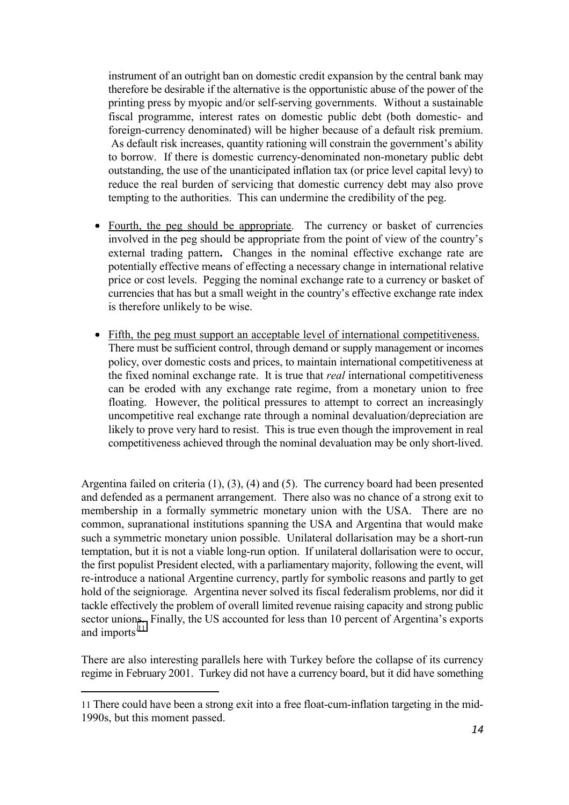instrument of an outright ban on domestic credit expansion by the central bank may therefore be desirable if the alternative is the opportunistic abuse of the power of the printing press by myopic and/or self-serving governments. Without a sustainable fiscal programme, interest rates on domestic public debt (both domestic- and foreign-currency denominated) will be higher because of a default risk premium. As default risk increases, quantity rationing will constrain the government's ability to borrow.If there is domestic currency-denominated non-monetary public debt outstanding, the use of the unanticipated inflation tax (or price level capital levy) to reduce the real burden of servicing that domestic currency debt may also prove tempting to the authorities. This can undermine the credibility of the peg.

- Fourth, the peg should be appropriate. The currency or basket of currencies involved in the peg should be appropriate from the point of view of the country's external trading pattern**.** Changes in the nominal effective exchange rate are potentially effective means of effecting a necessary change in international relative price or cost levels. Pegging the nominal exchange rate to a currency or basket of currencies that has but a small weight in the country's effective exchange rate index is therefore unlikely to be wise.
- Fifth, the peg must support an acceptable level of international competitiveness. There must be sufficient control, through demand or supply management or incomes policy, over domestic costs and prices, to maintain international competitiveness at the fixed nominal exchange rate. It is true that *real* international competitiveness can be eroded with any exchange rate regime, from a monetary union to free floating. However, the political pressures to attempt to correct an increasingly uncompetitive real exchange rate through a nominal devaluation/depreciation are likely to prove very hard to resist. This is true even though the improvement in real competitiveness achieved through the nominal devaluation may be only short-lived.

Argentina failed on criteria (1), (3), (4) and (5). The currency board had been presented and defended as a permanent arrangement. There also was no chance of a strong exit to membership in a formally symmetric monetary union with the USA. There are no common, supranational institutions spanning the USA and Argentina that would make such a symmetric monetary union possible. Unilateral dollarisation may be a short-run temptation, but it is not a viable long-run option. If unilateral dollarisation were to occur, the first populist President elected, with a parliamentary majority, following the event, will re-introduce a national Argentine currency, partly for symbolic reasons and partly to get hold of the seigniorage. Argentina never solved its fiscal federalism problems, nor did it tackle effectively the problem of overall limited revenue raising capacity and strong public sector unions. Finally, the US accounted for less than 10 percent of Argentina's exports and imports.<sup>11</sup>

There are also interesting parallels here with Turkey before the collapse of its currency regime in February 2001. Turkey did not have a currency board, but it did have something

<sup>11</sup> There could have been a strong exit into a free float-cum-inflation targeting in the mid-1990s, but this moment passed.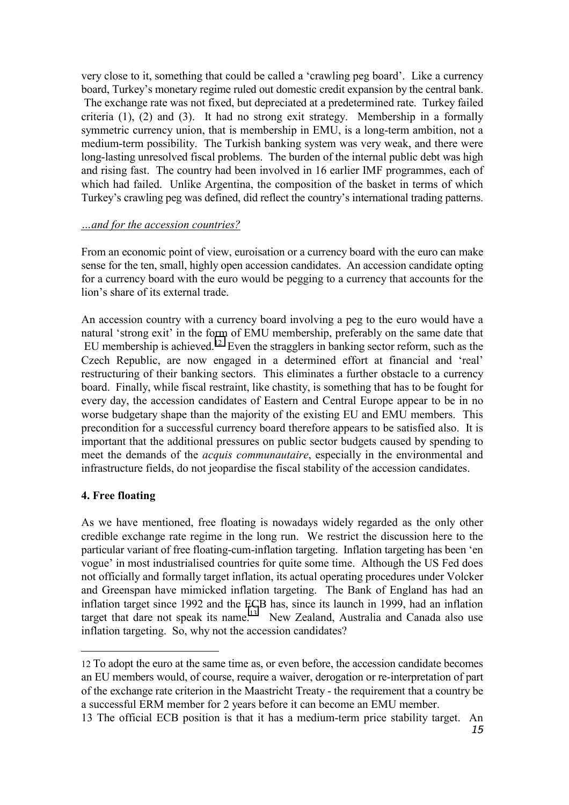very close to it, something that could be called a 'crawling peg board'. Like a currency board, Turkey's monetary regime ruled out domestic credit expansion by the central bank. The exchange rate was not fixed, but depreciated at a predetermined rate. Turkey failed criteria (1), (2) and (3). It had no strong exit strategy. Membership in a formally symmetric currency union, that is membership in EMU, is a long-term ambition, not a medium-term possibility. The Turkish banking system was very weak, and there were long-lasting unresolved fiscal problems. The burden of the internal public debt was high and rising fast. The country had been involved in 16 earlier IMF programmes, each of which had failed. Unlike Argentina, the composition of the basket in terms of which Turkey's crawling peg was defined, did reflect the country's international trading patterns.

#### *…and for the accession countries?*

From an economic point of view, euroisation or a currency board with the euro can make sense for the ten, small, highly open accession candidates. An accession candidate opting for a currency board with the euro would be pegging to a currency that accounts for the lion's share of its external trade.

An accession country with a currency board involving a peg to the euro would have a natural 'strong exit' in the form of EMU membership, preferably on the same date that EU membership is achieved.<sup>12</sup> Even the stragglers in banking sector reform, such as the Czech Republic, are now engaged in a determined effort at financial and 'real' restructuring of their banking sectors. This eliminates a further obstacle to a currency board. Finally, while fiscal restraint, like chastity, is something that has to be fought for every day, the accession candidates of Eastern and Central Europe appear to be in no worse budgetary shape than the majority of the existing EU and EMU members. This precondition for a successful currency board therefore appears to be satisfied also. It is important that the additional pressures on public sector budgets caused by spending to meet the demands of the *acquis communautaire*, especially in the environmental and infrastructure fields, do not jeopardise the fiscal stability of the accession candidates.

#### **4. Free floating**

l,

As we have mentioned, free floating is nowadays widely regarded as the only other credible exchange rate regime in the long run. We restrict the discussion here to the particular variant of free floating-cum-inflation targeting. Inflation targeting has been 'en vogue' in most industrialised countries for quite some time. Although the US Fed does not officially and formally target inflation, its actual operating procedures under Volcker and Greenspan have mimicked inflation targeting. The Bank of England has had an inflation target since 1992 and the ECB has, since its launch in 1999, had an inflation target that dare not speak its name.<sup>13</sup> New Zealand, Australia and Canada also use inflation targeting. So, why not the accession candidates?

<sup>12</sup> To adopt the euro at the same time as, or even before, the accession candidate becomes an EU members would, of course, require a waiver, derogation or re-interpretation of part of the exchange rate criterion in the Maastricht Treaty - the requirement that a country be a successful ERM member for 2 years before it can become an EMU member.

<sup>15</sup> 13 The official ECB position is that it has a medium-term price stability target. An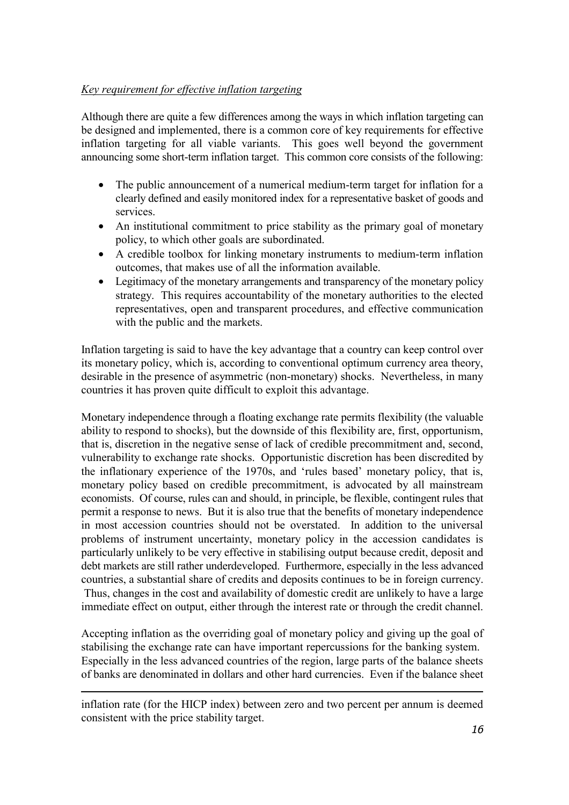## *Key requirement for effective inflation targeting*

Although there are quite a few differences among the ways in which inflation targeting can be designed and implemented, there is a common core of key requirements for effective inflation targeting for all viable variants. This goes well beyond the government announcing some short-term inflation target. This common core consists of the following:

- The public announcement of a numerical medium-term target for inflation for a clearly defined and easily monitored index for a representative basket of goods and services.
- An institutional commitment to price stability as the primary goal of monetary policy, to which other goals are subordinated.
- A credible toolbox for linking monetary instruments to medium-term inflation outcomes, that makes use of all the information available.
- Legitimacy of the monetary arrangements and transparency of the monetary policy strategy. This requires accountability of the monetary authorities to the elected representatives, open and transparent procedures, and effective communication with the public and the markets.

Inflation targeting is said to have the key advantage that a country can keep control over its monetary policy, which is, according to conventional optimum currency area theory, desirable in the presence of asymmetric (non-monetary) shocks. Nevertheless, in many countries it has proven quite difficult to exploit this advantage.

Monetary independence through a floating exchange rate permits flexibility (the valuable ability to respond to shocks), but the downside of this flexibility are, first, opportunism, that is, discretion in the negative sense of lack of credible precommitment and, second, vulnerability to exchange rate shocks. Opportunistic discretion has been discredited by the inflationary experience of the 1970s, and 'rules based' monetary policy, that is, monetary policy based on credible precommitment, is advocated by all mainstream economists. Of course, rules can and should, in principle, be flexible, contingent rules that permit a response to news. But it is also true that the benefits of monetary independence in most accession countries should not be overstated. In addition to the universal problems of instrument uncertainty, monetary policy in the accession candidates is particularly unlikely to be very effective in stabilising output because credit, deposit and debt markets are still rather underdeveloped. Furthermore, especially in the less advanced countries, a substantial share of credits and deposits continues to be in foreign currency. Thus, changes in the cost and availability of domestic credit are unlikely to have a large immediate effect on output, either through the interest rate or through the credit channel.

Accepting inflation as the overriding goal of monetary policy and giving up the goal of stabilising the exchange rate can have important repercussions for the banking system. Especially in the less advanced countries of the region, large parts of the balance sheets of banks are denominated in dollars and other hard currencies. Even if the balance sheet

-

inflation rate (for the HICP index) between zero and two percent per annum is deemed consistent with the price stability target.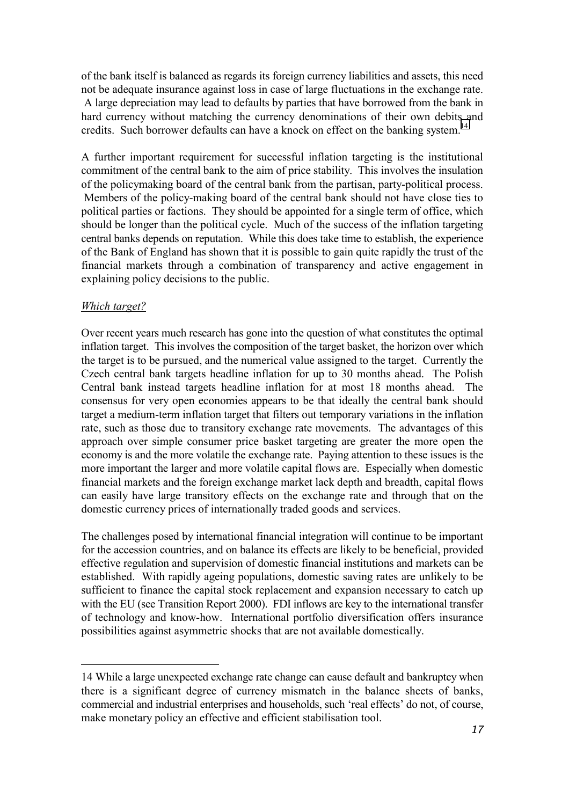of the bank itself is balanced as regards its foreign currency liabilities and assets, this need not be adequate insurance against loss in case of large fluctuations in the exchange rate. A large depreciation may lead to defaults by parties that have borrowed from the bank in hard currency without matching the currency denominations of their own debits and credits. Such borrower defaults can have a knock on effect on the banking system.<sup>14</sup>

A further important requirement for successful inflation targeting is the institutional commitment of the central bank to the aim of price stability. This involves the insulation of the policymaking board of the central bank from the partisan, party-political process. Members of the policy-making board of the central bank should not have close ties to political parties or factions. They should be appointed for a single term of office, which should be longer than the political cycle. Much of the success of the inflation targeting central banks depends on reputation. While this does take time to establish, the experience of the Bank of England has shown that it is possible to gain quite rapidly the trust of the financial markets through a combination of transparency and active engagement in explaining policy decisions to the public.

#### *Which target?*

Over recent years much research has gone into the question of what constitutes the optimal inflation target. This involves the composition of the target basket, the horizon over which the target is to be pursued, and the numerical value assigned to the target. Currently the Czech central bank targets headline inflation for up to 30 months ahead. The Polish Central bank instead targets headline inflation for at most 18 months ahead. The consensus for very open economies appears to be that ideally the central bank should target a medium-term inflation target that filters out temporary variations in the inflation rate, such as those due to transitory exchange rate movements. The advantages of this approach over simple consumer price basket targeting are greater the more open the economy is and the more volatile the exchange rate. Paying attention to these issues is the more important the larger and more volatile capital flows are. Especially when domestic financial markets and the foreign exchange market lack depth and breadth, capital flows can easily have large transitory effects on the exchange rate and through that on the domestic currency prices of internationally traded goods and services.

The challenges posed by international financial integration will continue to be important for the accession countries, and on balance its effects are likely to be beneficial, provided effective regulation and supervision of domestic financial institutions and markets can be established. With rapidly ageing populations, domestic saving rates are unlikely to be sufficient to finance the capital stock replacement and expansion necessary to catch up with the EU (see Transition Report 2000). FDI inflows are key to the international transfer of technology and know-how. International portfolio diversification offers insurance possibilities against asymmetric shocks that are not available domestically.

<sup>14</sup> While a large unexpected exchange rate change can cause default and bankruptcy when there is a significant degree of currency mismatch in the balance sheets of banks, commercial and industrial enterprises and households, such 'real effects' do not, of course, make monetary policy an effective and efficient stabilisation tool.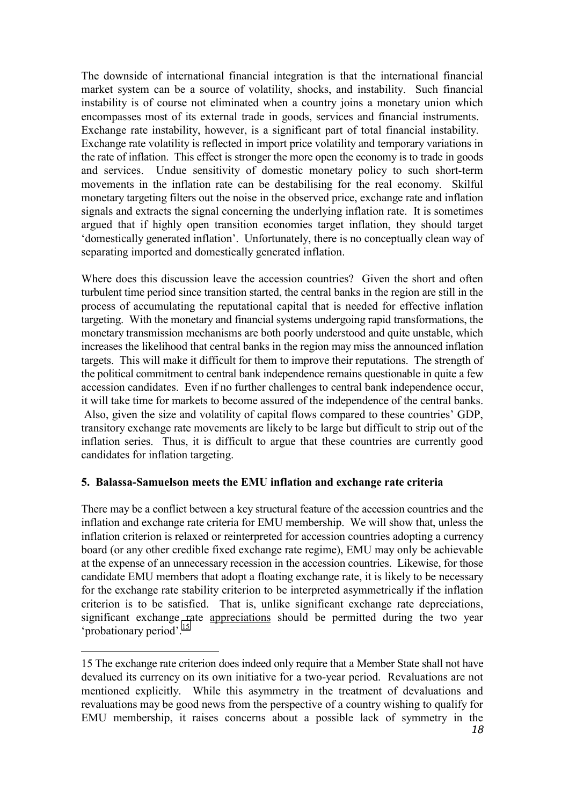The downside of international financial integration is that the international financial market system can be a source of volatility, shocks, and instability. Such financial instability is of course not eliminated when a country joins a monetary union which encompasses most of its external trade in goods, services and financial instruments. Exchange rate instability, however, is a significant part of total financial instability. Exchange rate volatility is reflected in import price volatility and temporary variations in the rate of inflation. This effect is stronger the more open the economy is to trade in goods and services. Undue sensitivity of domestic monetary policy to such short-term movements in the inflation rate can be destabilising for the real economy. Skilful monetary targeting filters out the noise in the observed price, exchange rate and inflation signals and extracts the signal concerning the underlying inflation rate. It is sometimes argued that if highly open transition economies target inflation, they should target 'domestically generated inflation'. Unfortunately, there is no conceptually clean way of separating imported and domestically generated inflation.

Where does this discussion leave the accession countries? Given the short and often turbulent time period since transition started, the central banks in the region are still in the process of accumulating the reputational capital that is needed for effective inflation targeting. With the monetary and financial systems undergoing rapid transformations, the monetary transmission mechanisms are both poorly understood and quite unstable, which increases the likelihood that central banks in the region may miss the announced inflation targets. This will make it difficult for them to improve their reputations. The strength of the political commitment to central bank independence remains questionable in quite a few accession candidates. Even if no further challenges to central bank independence occur, it will take time for markets to become assured of the independence of the central banks. Also, given the size and volatility of capital flows compared to these countries' GDP, transitory exchange rate movements are likely to be large but difficult to strip out of the inflation series. Thus, it is difficult to argue that these countries are currently good candidates for inflation targeting.

#### **5. Balassa-Samuelson meets the EMU inflation and exchange rate criteria**

There may be a conflict between a key structural feature of the accession countries and the inflation and exchange rate criteria for EMU membership. We will show that, unless the inflation criterion is relaxed or reinterpreted for accession countries adopting a currency board (or any other credible fixed exchange rate regime), EMU may only be achievable at the expense of an unnecessary recession in the accession countries. Likewise, for those candidate EMU members that adopt a floating exchange rate, it is likely to be necessary for the exchange rate stability criterion to be interpreted asymmetrically if the inflation criterion is to be satisfied. That is, unlike significant exchange rate depreciations, significant exchange rate appreciations should be permitted during the two year 'probationary period'.15

<sup>15</sup> The exchange rate criterion does indeed only require that a Member State shall not have devalued its currency on its own initiative for a two-year period. Revaluations are not mentioned explicitly. While this asymmetry in the treatment of devaluations and revaluations may be good news from the perspective of a country wishing to qualify for EMU membership, it raises concerns about a possible lack of symmetry in the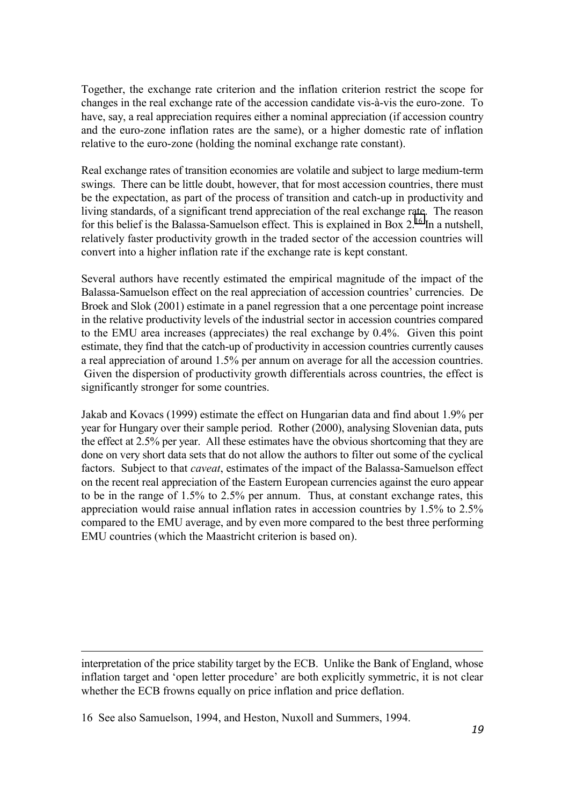Together, the exchange rate criterion and the inflation criterion restrict the scope for changes in the real exchange rate of the accession candidate vis-à-vis the euro-zone. To have, say, a real appreciation requires either a nominal appreciation (if accession country and the euro-zone inflation rates are the same), or a higher domestic rate of inflation relative to the euro-zone (holding the nominal exchange rate constant).

Real exchange rates of transition economies are volatile and subject to large medium-term swings. There can be little doubt, however, that for most accession countries, there must be the expectation, as part of the process of transition and catch-up in productivity and living standards, of a significant trend appreciation of the real exchange rate. The reason for this belief is the Balassa-Samuelson effect. This is explained in Box  $2^{16}$  In a nutshell, relatively faster productivity growth in the traded sector of the accession countries will convert into a higher inflation rate if the exchange rate is kept constant.

Several authors have recently estimated the empirical magnitude of the impact of the Balassa-Samuelson effect on the real appreciation of accession countries' currencies. De Broek and Slok (2001) estimate in a panel regression that a one percentage point increase in the relative productivity levels of the industrial sector in accession countries compared to the EMU area increases (appreciates) the real exchange by 0.4%. Given this point estimate, they find that the catch-up of productivity in accession countries currently causes a real appreciation of around 1.5% per annum on average for all the accession countries. Given the dispersion of productivity growth differentials across countries, the effect is significantly stronger for some countries.

Jakab and Kovacs (1999) estimate the effect on Hungarian data and find about 1.9% per year for Hungary over their sample period. Rother (2000), analysing Slovenian data, puts the effect at 2.5% per year. All these estimates have the obvious shortcoming that they are done on very short data sets that do not allow the authors to filter out some of the cyclical factors. Subject to that *caveat*, estimates of the impact of the Balassa-Samuelson effect on the recent real appreciation of the Eastern European currencies against the euro appear to be in the range of 1.5% to 2.5% per annum. Thus, at constant exchange rates, this appreciation would raise annual inflation rates in accession countries by 1.5% to 2.5% compared to the EMU average, and by even more compared to the best three performing EMU countries (which the Maastricht criterion is based on).

interpretation of the price stability target by the ECB. Unlike the Bank of England, whose inflation target and 'open letter procedure' are both explicitly symmetric, it is not clear whether the ECB frowns equally on price inflation and price deflation.

-

<sup>16</sup> See also Samuelson, 1994, and Heston, Nuxoll and Summers, 1994.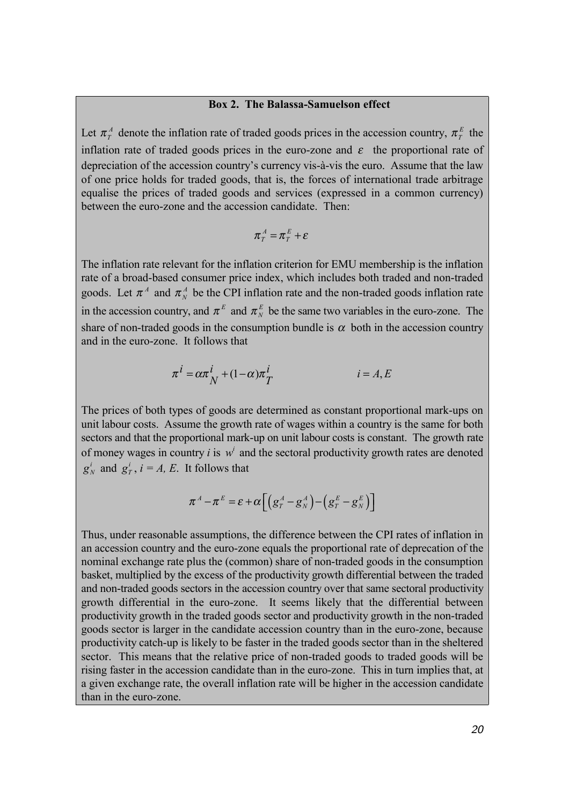#### **Box 2. The Balassa-Samuelson effect**

Let  $\pi_T^A$  denote the inflation rate of traded goods prices in the accession country,  $\pi_T^E$  the inflation rate of traded goods prices in the euro-zone and  $\varepsilon$  the proportional rate of depreciation of the accession country's currency vis-à-vis the euro. Assume that the law of one price holds for traded goods, that is, the forces of international trade arbitrage equalise the prices of traded goods and services (expressed in a common currency) between the euro-zone and the accession candidate. Then:

$$
\pi^A_T = \pi^E_T + \varepsilon
$$

The inflation rate relevant for the inflation criterion for EMU membership is the inflation rate of a broad-based consumer price index, which includes both traded and non-traded goods. Let  $\pi^A$  and  $\pi^A$  be the CPI inflation rate and the non-traded goods inflation rate in the accession country, and  $\pi^E$  and  $\pi^E$  be the same two variables in the euro-zone. The share of non-traded goods in the consumption bundle is  $\alpha$  both in the accession country and in the euro-zone. It follows that

$$
\pi^{i} = \alpha \pi_{N}^{i} + (1 - \alpha)\pi_{T}^{i}
$$
  $i = A, E$ 

The prices of both types of goods are determined as constant proportional mark-ups on unit labour costs. Assume the growth rate of wages within a country is the same for both sectors and that the proportional mark-up on unit labour costs is constant. The growth rate of money wages in country *i* is  $w<sup>i</sup>$  and the sectoral productivity growth rates are denoted  $g_N^i$  and  $g_T^i$ ,  $i = A$ , *E*. It follows that

$$
\boldsymbol{\pi}^A - \boldsymbol{\pi}^E = \boldsymbol{\varepsilon} + \boldsymbol{\alpha} \bigg[ \bigg( g_T^A - g_N^A \bigg) - \bigg( g_T^E - g_N^E \bigg) \bigg]
$$

Thus, under reasonable assumptions, the difference between the CPI rates of inflation in an accession country and the euro-zone equals the proportional rate of deprecation of the nominal exchange rate plus the (common) share of non-traded goods in the consumption basket, multiplied by the excess of the productivity growth differential between the traded and non-traded goods sectors in the accession country over that same sectoral productivity growth differential in the euro-zone. It seems likely that the differential between productivity growth in the traded goods sector and productivity growth in the non-traded goods sector is larger in the candidate accession country than in the euro-zone, because productivity catch-up is likely to be faster in the traded goods sector than in the sheltered sector. This means that the relative price of non-traded goods to traded goods will be rising faster in the accession candidate than in the euro-zone. This in turn implies that, at a given exchange rate, the overall inflation rate will be higher in the accession candidate than in the euro-zone.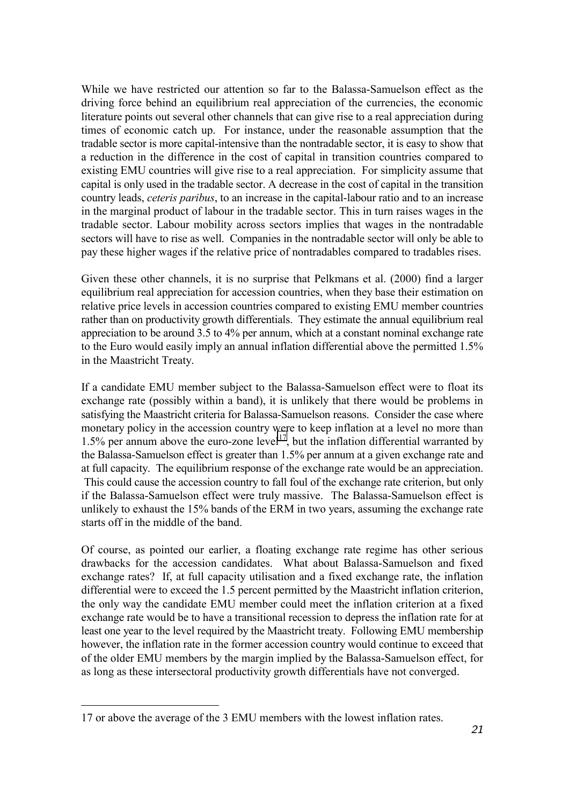While we have restricted our attention so far to the Balassa-Samuelson effect as the driving force behind an equilibrium real appreciation of the currencies, the economic literature points out several other channels that can give rise to a real appreciation during times of economic catch up. For instance, under the reasonable assumption that the tradable sector is more capital-intensive than the nontradable sector, it is easy to show that a reduction in the difference in the cost of capital in transition countries compared to existing EMU countries will give rise to a real appreciation. For simplicity assume that capital is only used in the tradable sector. A decrease in the cost of capital in the transition country leads, *ceteris paribus*, to an increase in the capital-labour ratio and to an increase in the marginal product of labour in the tradable sector. This in turn raises wages in the tradable sector. Labour mobility across sectors implies that wages in the nontradable sectors will have to rise as well. Companies in the nontradable sector will only be able to pay these higher wages if the relative price of nontradables compared to tradables rises.

Given these other channels, it is no surprise that Pelkmans et al. (2000) find a larger equilibrium real appreciation for accession countries, when they base their estimation on relative price levels in accession countries compared to existing EMU member countries rather than on productivity growth differentials. They estimate the annual equilibrium real appreciation to be around 3.5 to 4% per annum, which at a constant nominal exchange rate to the Euro would easily imply an annual inflation differential above the permitted 1.5% in the Maastricht Treaty.

If a candidate EMU member subject to the Balassa-Samuelson effect were to float its exchange rate (possibly within a band), it is unlikely that there would be problems in satisfying the Maastricht criteria for Balassa-Samuelson reasons. Consider the case where monetary policy in the accession country were to keep inflation at a level no more than 1.5% per annum above the euro-zone level<sup>17</sup>, but the inflation differential warranted by the Balassa-Samuelson effect is greater than 1.5% per annum at a given exchange rate and at full capacity. The equilibrium response of the exchange rate would be an appreciation. This could cause the accession country to fall foul of the exchange rate criterion, but only if the Balassa-Samuelson effect were truly massive. The Balassa-Samuelson effect is unlikely to exhaust the 15% bands of the ERM in two years, assuming the exchange rate starts off in the middle of the band.

Of course, as pointed our earlier, a floating exchange rate regime has other serious drawbacks for the accession candidates. What about Balassa-Samuelson and fixed exchange rates? If, at full capacity utilisation and a fixed exchange rate, the inflation differential were to exceed the 1.5 percent permitted by the Maastricht inflation criterion, the only way the candidate EMU member could meet the inflation criterion at a fixed exchange rate would be to have a transitional recession to depress the inflation rate for at least one year to the level required by the Maastricht treaty. Following EMU membership however, the inflation rate in the former accession country would continue to exceed that of the older EMU members by the margin implied by the Balassa-Samuelson effect, for as long as these intersectoral productivity growth differentials have not converged.

<sup>17</sup> or above the average of the 3 EMU members with the lowest inflation rates.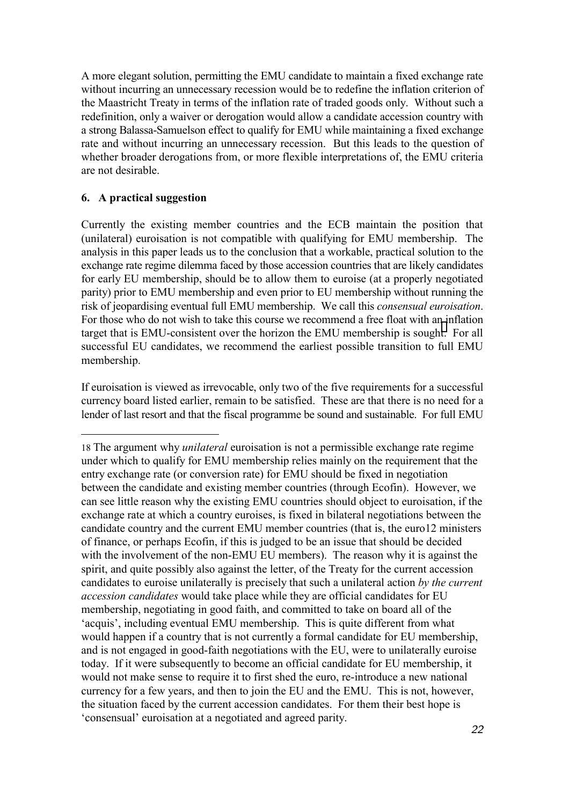A more elegant solution, permitting the EMU candidate to maintain a fixed exchange rate without incurring an unnecessary recession would be to redefine the inflation criterion of the Maastricht Treaty in terms of the inflation rate of traded goods only. Without such a redefinition, only a waiver or derogation would allow a candidate accession country with a strong Balassa-Samuelson effect to qualify for EMU while maintaining a fixed exchange rate and without incurring an unnecessary recession. But this leads to the question of whether broader derogations from, or more flexible interpretations of, the EMU criteria are not desirable.

### **6. A practical suggestion**

Currently the existing member countries and the ECB maintain the position that (unilateral) euroisation is not compatible with qualifying for EMU membership. The analysis in this paper leads us to the conclusion that a workable, practical solution to the exchange rate regime dilemma faced by those accession countries that are likely candidates for early EU membership, should be to allow them to euroise (at a properly negotiated parity) prior to EMU membership and even prior to EU membership without running the risk of jeopardising eventual full EMU membership. We call this *consensual euroisation*. For those who do not wish to take this course we recommend a free float with an inflation target that is EMU-consistent over the horizon the EMU membership is sought. For all successful EU candidates, we recommend the earliest possible transition to full EMU membership.

If euroisation is viewed as irrevocable, only two of the five requirements for a successful currency board listed earlier, remain to be satisfied. These are that there is no need for a lender of last resort and that the fiscal programme be sound and sustainable. For full EMU

<sup>18</sup> The argument why *unilateral* euroisation is not a permissible exchange rate regime under which to qualify for EMU membership relies mainly on the requirement that the entry exchange rate (or conversion rate) for EMU should be fixed in negotiation between the candidate and existing member countries (through Ecofin). However, we can see little reason why the existing EMU countries should object to euroisation, if the exchange rate at which a country euroises, is fixed in bilateral negotiations between the candidate country and the current EMU member countries (that is, the euro12 ministers of finance, or perhaps Ecofin, if this is judged to be an issue that should be decided with the involvement of the non-EMU EU members). The reason why it is against the spirit, and quite possibly also against the letter, of the Treaty for the current accession candidates to euroise unilaterally is precisely that such a unilateral action *by the current accession candidates* would take place while they are official candidates for EU membership, negotiating in good faith, and committed to take on board all of the 'acquis', including eventual EMU membership. This is quite different from what would happen if a country that is not currently a formal candidate for EU membership, and is not engaged in good-faith negotiations with the EU, were to unilaterally euroise today. If it were subsequently to become an official candidate for EU membership, it would not make sense to require it to first shed the euro, re-introduce a new national currency for a few years, and then to join the EU and the EMU. This is not, however, the situation faced by the current accession candidates. For them their best hope is 'consensual' euroisation at a negotiated and agreed parity.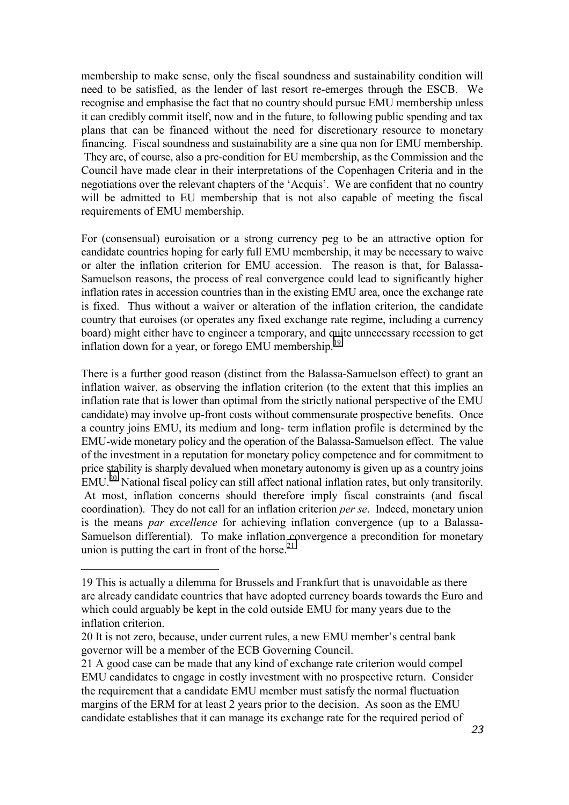membership to make sense, only the fiscal soundness and sustainability condition will need to be satisfied, as the lender of last resort re-emerges through the ESCB. We recognise and emphasise the fact that no country should pursue EMU membership unless it can credibly commit itself, now and in the future, to following public spending and tax plans that can be financed without the need for discretionary resource to monetary financing. Fiscal soundness and sustainability are a sine qua non for EMU membership. They are, of course, also a pre-condition for EU membership, as the Commission and the Council have made clear in their interpretations of the Copenhagen Criteria and in the negotiations over the relevant chapters of the 'Acquis'. We are confident that no country will be admitted to EU membership that is not also capable of meeting the fiscal requirements of EMU membership.

For (consensual) euroisation or a strong currency peg to be an attractive option for candidate countries hoping for early full EMU membership, it may be necessary to waive or alter the inflation criterion for EMU accession. The reason is that, for Balassa-Samuelson reasons, the process of real convergence could lead to significantly higher inflation rates in accession countries than in the existing EMU area, once the exchange rate is fixed. Thus without a waiver or alteration of the inflation criterion, the candidate country that euroises (or operates any fixed exchange rate regime, including a currency board) might either have to engineer a temporary, and quite unnecessary recession to get inflation down for a year, or forego EMU membership.<sup>19</sup>

There is a further good reason (distinct from the Balassa-Samuelson effect) to grant an inflation waiver, as observing the inflation criterion (to the extent that this implies an inflation rate that is lower than optimal from the strictly national perspective of the EMU candidate) may involve up-front costs without commensurate prospective benefits. Once a country joins EMU, its medium and long- term inflation profile is determined by the EMU-wide monetary policy and the operation of the Balassa-Samuelson effect. The value of the investment in a reputation for monetary policy competence and for commitment to price stability is sharply devalued when monetary autonomy is given up as a country joins EMU.20 National fiscal policy can still affect national inflation rates, but only transitorily. At most, inflation concerns should therefore imply fiscal constraints (and fiscal coordination). They do not call for an inflation criterion *per se*. Indeed, monetary union is the means *par excellence* for achieving inflation convergence (up to a Balassa-Samuelson differential). To make inflation convergence a precondition for monetary union is putting the cart in front of the horse.<sup>21</sup>

<sup>19</sup> This is actually a dilemma for Brussels and Frankfurt that is unavoidable as there are already candidate countries that have adopted currency boards towards the Euro and which could arguably be kept in the cold outside EMU for many years due to the inflation criterion.

<sup>20</sup> It is not zero, because, under current rules, a new EMU member's central bank governor will be a member of the ECB Governing Council.

<sup>21</sup> A good case can be made that any kind of exchange rate criterion would compel EMU candidates to engage in costly investment with no prospective return. Consider the requirement that a candidate EMU member must satisfy the normal fluctuation margins of the ERM for at least 2 years prior to the decision. As soon as the EMU candidate establishes that it can manage its exchange rate for the required period of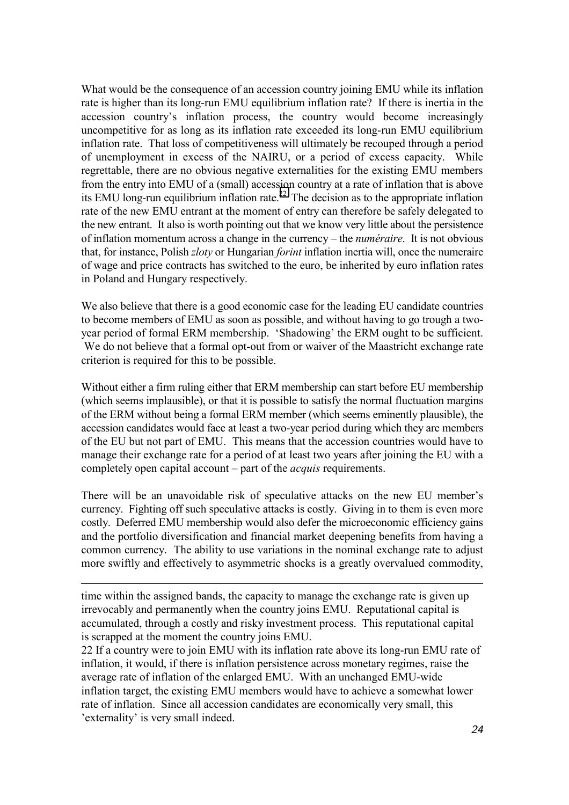What would be the consequence of an accession country joining EMU while its inflation rate is higher than its long-run EMU equilibrium inflation rate? If there is inertia in the accession country's inflation process, the country would become increasingly uncompetitive for as long as its inflation rate exceeded its long-run EMU equilibrium inflation rate. That loss of competitiveness will ultimately be recouped through a period of unemployment in excess of the NAIRU, or a period of excess capacity. While regrettable, there are no obvious negative externalities for the existing EMU members from the entry into EMU of a (small) accession country at a rate of inflation that is above its EMU long-run equilibrium inflation rate.<sup>22</sup> The decision as to the appropriate inflation rate of the new EMU entrant at the moment of entry can therefore be safely delegated to the new entrant. It also is worth pointing out that we know very little about the persistence of inflation momentum across a change in the currency – the *numéraire*. It is not obvious that, for instance, Polish *zloty* or Hungarian *forint* inflation inertia will, once the numeraire of wage and price contracts has switched to the euro, be inherited by euro inflation rates in Poland and Hungary respectively.

We also believe that there is a good economic case for the leading EU candidate countries to become members of EMU as soon as possible, and without having to go trough a twoyear period of formal ERM membership. 'Shadowing' the ERM ought to be sufficient. We do not believe that a formal opt-out from or waiver of the Maastricht exchange rate criterion is required for this to be possible.

Without either a firm ruling either that ERM membership can start before EU membership (which seems implausible), or that it is possible to satisfy the normal fluctuation margins of the ERM without being a formal ERM member (which seems eminently plausible), the accession candidates would face at least a two-year period during which they are members of the EU but not part of EMU. This means that the accession countries would have to manage their exchange rate for a period of at least two years after joining the EU with a completely open capital account – part of the *acquis* requirements.

There will be an unavoidable risk of speculative attacks on the new EU member's currency. Fighting off such speculative attacks is costly. Giving in to them is even more costly. Deferred EMU membership would also defer the microeconomic efficiency gains and the portfolio diversification and financial market deepening benefits from having a common currency. The ability to use variations in the nominal exchange rate to adjust more swiftly and effectively to asymmetric shocks is a greatly overvalued commodity,

time within the assigned bands, the capacity to manage the exchange rate is given up irrevocably and permanently when the country joins EMU. Reputational capital is accumulated, through a costly and risky investment process. This reputational capital is scrapped at the moment the country joins EMU.

-

22 If a country were to join EMU with its inflation rate above its long-run EMU rate of inflation, it would, if there is inflation persistence across monetary regimes, raise the average rate of inflation of the enlarged EMU. With an unchanged EMU-wide inflation target, the existing EMU members would have to achieve a somewhat lower rate of inflation. Since all accession candidates are economically very small, this 'externality' is very small indeed.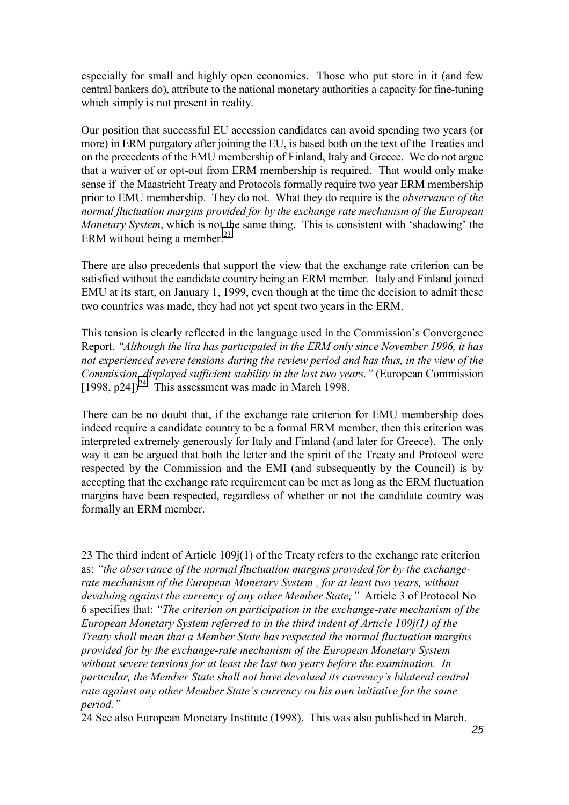especially for small and highly open economies. Those who put store in it (and few central bankers do), attribute to the national monetary authorities a capacity for fine-tuning which simply is not present in reality.

Our position that successful EU accession candidates can avoid spending two years (or more) in ERM purgatory after joining the EU, is based both on the text of the Treaties and on the precedents of the EMU membership of Finland, Italy and Greece. We do not argue that a waiver of or opt-out from ERM membership is required. That would only make sense if the Maastricht Treaty and Protocols formally require two year ERM membership prior to EMU membership. They do not. What they do require is the *observance of the normal fluctuation margins provided for by the exchange rate mechanism of the European Monetary System*, which is not the same thing. This is consistent with 'shadowing' the ERM without being a member. $^{23}$ 

There are also precedents that support the view that the exchange rate criterion can be satisfied without the candidate country being an ERM member. Italy and Finland joined EMU at its start, on January 1, 1999, even though at the time the decision to admit these two countries was made, they had not yet spent two years in the ERM.

This tension is clearly reflected in the language used in the Commission's Convergence Report. *"Although the lira has participated in the ERM only since November 1996, it has not experienced severe tensions during the review period and has thus, in the view of the Commission, displayed sufficient stability in the last two years."* (European Commission  $[1998, p24]$ <sup>24.</sup> This assessment was made in March 1998.

There can be no doubt that, if the exchange rate criterion for EMU membership does indeed require a candidate country to be a formal ERM member, then this criterion was interpreted extremely generously for Italy and Finland (and later for Greece). The only way it can be argued that both the letter and the spirit of the Treaty and Protocol were respected by the Commission and the EMI (and subsequently by the Council) is by accepting that the exchange rate requirement can be met as long as the ERM fluctuation margins have been respected, regardless of whether or not the candidate country was formally an ERM member.

<sup>23</sup> The third indent of Article 109j(1) of the Treaty refers to the exchange rate criterion as: *"the observance of the normal fluctuation margins provided for by the exchangerate mechanism of the European Monetary System , for at least two years, without devaluing against the currency of any other Member State;"* Article 3 of Protocol No 6 specifies that: *"The criterion on participation in the exchange-rate mechanism of the European Monetary System referred to in the third indent of Article 109j(1) of the Treaty shall mean that a Member State has respected the normal fluctuation margins provided for by the exchange-rate mechanism of the European Monetary System without severe tensions for at least the last two years before the examination. In particular, the Member State shall not have devalued its currency's bilateral central rate against any other Member State's currency on his own initiative for the same period."*

<sup>24</sup> See also European Monetary Institute (1998). This was also published in March.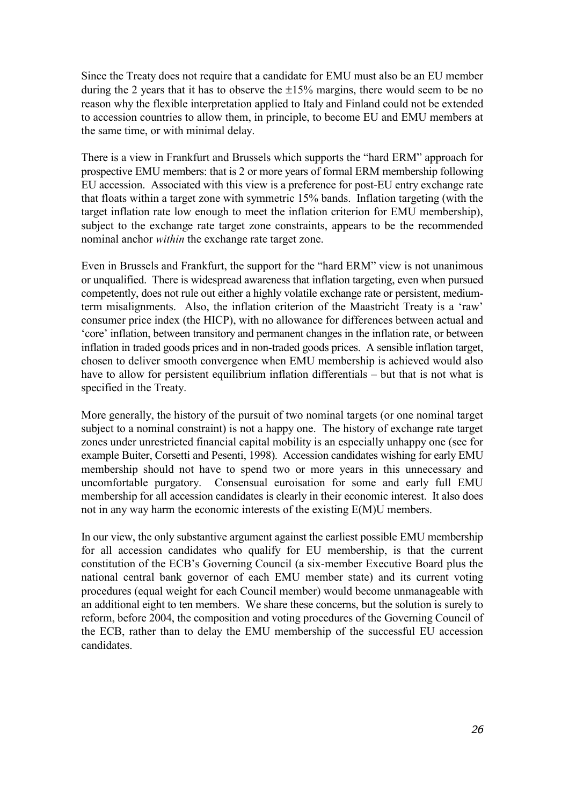Since the Treaty does not require that a candidate for EMU must also be an EU member during the 2 years that it has to observe the  $\pm 15\%$  margins, there would seem to be no reason why the flexible interpretation applied to Italy and Finland could not be extended to accession countries to allow them, in principle, to become EU and EMU members at the same time, or with minimal delay.

There is a view in Frankfurt and Brussels which supports the "hard ERM" approach for prospective EMU members: that is 2 or more years of formal ERM membership following EU accession. Associated with this view is a preference for post-EU entry exchange rate that floats within a target zone with symmetric 15% bands. Inflation targeting (with the target inflation rate low enough to meet the inflation criterion for EMU membership), subject to the exchange rate target zone constraints, appears to be the recommended nominal anchor *within* the exchange rate target zone.

Even in Brussels and Frankfurt, the support for the "hard ERM" view is not unanimous or unqualified. There is widespread awareness that inflation targeting, even when pursued competently, does not rule out either a highly volatile exchange rate or persistent, mediumterm misalignments. Also, the inflation criterion of the Maastricht Treaty is a 'raw' consumer price index (the HICP), with no allowance for differences between actual and 'core' inflation, between transitory and permanent changes in the inflation rate, or between inflation in traded goods prices and in non-traded goods prices. A sensible inflation target, chosen to deliver smooth convergence when EMU membership is achieved would also have to allow for persistent equilibrium inflation differentials – but that is not what is specified in the Treaty.

More generally, the history of the pursuit of two nominal targets (or one nominal target subject to a nominal constraint) is not a happy one. The history of exchange rate target zones under unrestricted financial capital mobility is an especially unhappy one (see for example Buiter, Corsetti and Pesenti, 1998). Accession candidates wishing for early EMU membership should not have to spend two or more years in this unnecessary and uncomfortable purgatory. Consensual euroisation for some and early full EMU membership for all accession candidates is clearly in their economic interest. It also does not in any way harm the economic interests of the existing E(M)U members.

In our view, the only substantive argument against the earliest possible EMU membership for all accession candidates who qualify for EU membership, is that the current constitution of the ECB's Governing Council (a six-member Executive Board plus the national central bank governor of each EMU member state) and its current voting procedures (equal weight for each Council member) would become unmanageable with an additional eight to ten members. We share these concerns, but the solution is surely to reform, before 2004, the composition and voting procedures of the Governing Council of the ECB, rather than to delay the EMU membership of the successful EU accession candidates.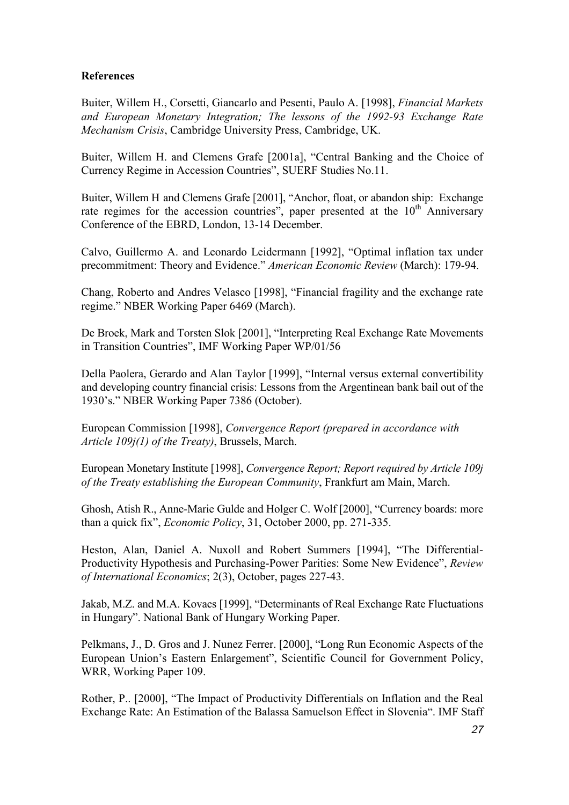## **References**

Buiter, Willem H., Corsetti, Giancarlo and Pesenti, Paulo A. [1998], *Financial Markets and European Monetary Integration; The lessons of the 1992-93 Exchange Rate Mechanism Crisis*, Cambridge University Press, Cambridge, UK.

Buiter, Willem H. and Clemens Grafe [2001a], "Central Banking and the Choice of Currency Regime in Accession Countries", SUERF Studies No.11.

Buiter, Willem H and Clemens Grafe [2001], "Anchor, float, or abandon ship: Exchange rate regimes for the accession countries", paper presented at the  $10<sup>th</sup>$  Anniversary Conference of the EBRD, London, 13-14 December.

Calvo, Guillermo A. and Leonardo Leidermann [1992], "Optimal inflation tax under precommitment: Theory and Evidence." *American Economic Review* (March): 179-94.

Chang, Roberto and Andres Velasco [1998], "Financial fragility and the exchange rate regime." NBER Working Paper 6469 (March).

De Broek, Mark and Torsten Slok [2001], "Interpreting Real Exchange Rate Movements in Transition Countries", IMF Working Paper WP/01/56

Della Paolera, Gerardo and Alan Taylor [1999], "Internal versus external convertibility and developing country financial crisis: Lessons from the Argentinean bank bail out of the 1930's." NBER Working Paper 7386 (October).

European Commission [1998], *Convergence Report (prepared in accordance with Article 109j(1) of the Treaty)*, Brussels, March.

European Monetary Institute [1998], *Convergence Report; Report required by Article 109j of the Treaty establishing the European Community*, Frankfurt am Main, March.

Ghosh, Atish R., Anne-Marie Gulde and Holger C. Wolf [2000], "Currency boards: more than a quick fix", *Economic Policy*, 31, October 2000, pp. 271-335.

Heston, Alan, Daniel A. Nuxoll and Robert Summers [1994], "The Differential-Productivity Hypothesis and Purchasing-Power Parities: Some New Evidence", *Review of International Economics*; 2(3), October, pages 227-43.

Jakab, M.Z. and M.A. Kovacs [1999], "Determinants of Real Exchange Rate Fluctuations in Hungary". National Bank of Hungary Working Paper.

Pelkmans, J., D. Gros and J. Nunez Ferrer. [2000], "Long Run Economic Aspects of the European Union's Eastern Enlargement", Scientific Council for Government Policy, WRR, Working Paper 109.

Rother, P.. [2000], "The Impact of Productivity Differentials on Inflation and the Real Exchange Rate: An Estimation of the Balassa Samuelson Effect in Slovenia". IMF Staff